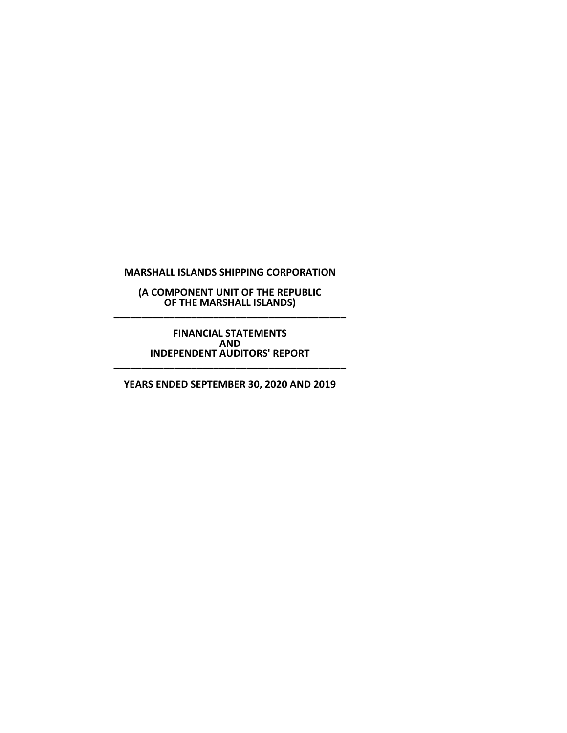**(A COMPONENT UNIT OF THE REPUBLIC OF THE MARSHALL ISLANDS) \_\_\_\_\_\_\_\_\_\_\_\_\_\_\_\_\_\_\_\_\_\_\_\_\_\_\_\_\_\_\_\_\_\_\_\_\_\_\_\_\_\_**

> **FINANCIAL STATEMENTS AND INDEPENDENT AUDITORS' REPORT**

**YEARS ENDED SEPTEMBER 30, 2020 AND 2019**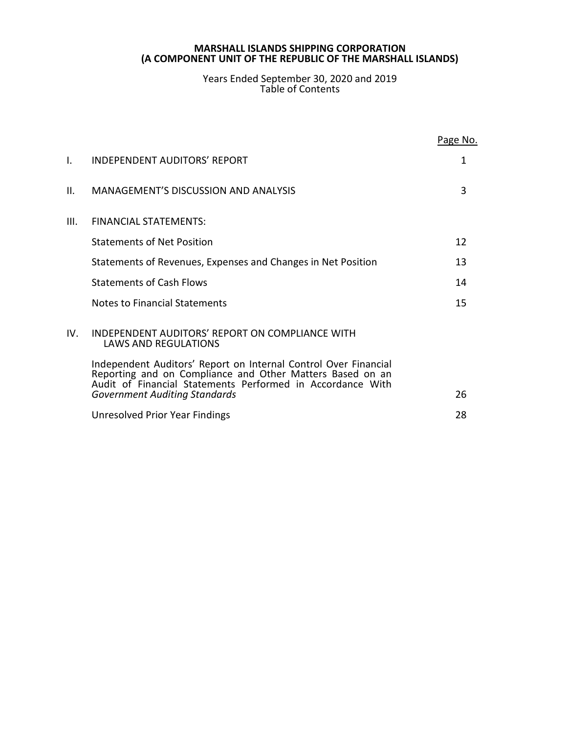#### **MARSHALL ISLANDS SHIPPING CORPORATION (A COMPONENT UNIT OF THE REPUBLIC OF THE MARSHALL ISLANDS)**

Years Ended September 30, 2020 and 2019 Table of Contents

|      |                                                                                                                                                                                            | Page No. |
|------|--------------------------------------------------------------------------------------------------------------------------------------------------------------------------------------------|----------|
| I.   | INDEPENDENT AUDITORS' REPORT                                                                                                                                                               | 1        |
| II.  | <b>MANAGEMENT'S DISCUSSION AND ANALYSIS</b>                                                                                                                                                | 3        |
| III. | FINANCIAL STATEMENTS:                                                                                                                                                                      |          |
|      | <b>Statements of Net Position</b>                                                                                                                                                          | 12       |
|      | Statements of Revenues, Expenses and Changes in Net Position                                                                                                                               | 13       |
|      | <b>Statements of Cash Flows</b>                                                                                                                                                            | 14       |
|      | Notes to Financial Statements                                                                                                                                                              | 15       |
| IV.  | INDEPENDENT AUDITORS' REPORT ON COMPLIANCE WITH<br><b>LAWS AND REGULATIONS</b>                                                                                                             |          |
|      | Independent Auditors' Report on Internal Control Over Financial<br>Reporting and on Compliance and Other Matters Based on an<br>Audit of Financial Statements Performed in Accordance With |          |
|      | <b>Government Auditing Standards</b>                                                                                                                                                       | 26       |
|      | Unresolved Prior Year Findings                                                                                                                                                             | 28       |
|      |                                                                                                                                                                                            |          |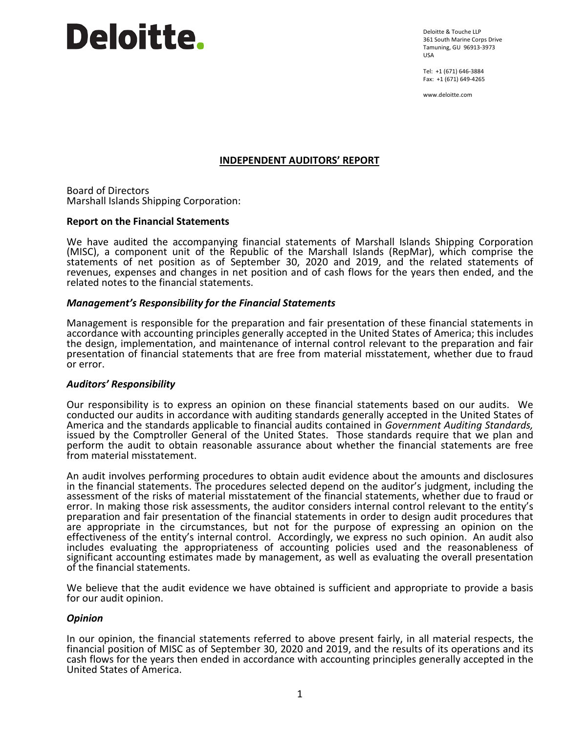# **Deloitte**.

Deloitte & Touche LLP 361 South Marine Corps Drive Tamuning, GU 96913-3973 USA

Tel: +1 (671) 646-3884 Fax: +1 (671) 649-4265

www.deloitte.com

# **INDEPENDENT AUDITORS' REPORT**

Board of Directors Marshall Islands Shipping Corporation:

# **Report on the Financial Statements**

We have audited the accompanying financial statements of Marshall Islands Shipping Corporation (MISC), a component unit of the Republic of the Marshall Islands (RepMar), which comprise the statements of net position as of September 30, 2020 and 2019, and the related statements of revenues, expenses and changes in net position and of cash flows for the years then ended, and the related notes to the financial statements.

# *Management's Responsibility for the Financial Statements*

Management is responsible for the preparation and fair presentation of these financial statements in accordance with accounting principles generally accepted in the United States of America; this includes the design, implementation, and maintenance of internal control relevant to the preparation and fair presentation of financial statements that are free from material misstatement, whether due to fraud or error.

# *Auditors' Responsibility*

Our responsibility is to express an opinion on these financial statements based on our audits. We conducted our audits in accordance with auditing standards generally accepted in the United States of America and the standards applicable to financial audits contained in *Government Auditing Standards,* issued by the Comptroller General of the United States. Those standards require that we plan and perform the audit to obtain reasonable assurance about whether the financial statements are free from material misstatement.

An audit involves performing procedures to obtain audit evidence about the amounts and disclosures in the financial statements. The procedures selected depend on the auditor's judgment, including the assessment of the risks of material misstatement of the financial statements, whether due to fraud or error. In making those risk assessments, the auditor considers internal control relevant to the entity's preparation and fair presentation of the financial statements in order to design audit procedures that are appropriate in the circumstances, but not for the purpose of expressing an opinion on the effectiveness of the entity's internal control. Accordingly, we express no such opinion. An audit also includes evaluating the appropriateness of accounting policies used and the reasonableness of significant accounting estimates made by management, as well as evaluating the overall presentation of the financial statements.

We believe that the audit evidence we have obtained is sufficient and appropriate to provide a basis for our audit opinion.

# *Opinion*

In our opinion, the financial statements referred to above present fairly, in all material respects, the financial position of MISC as of September 30, 2020 and 2019, and the results of its operations and its cash flows for the years then ended in accordance with accounting principles generally accepted in the United States of America.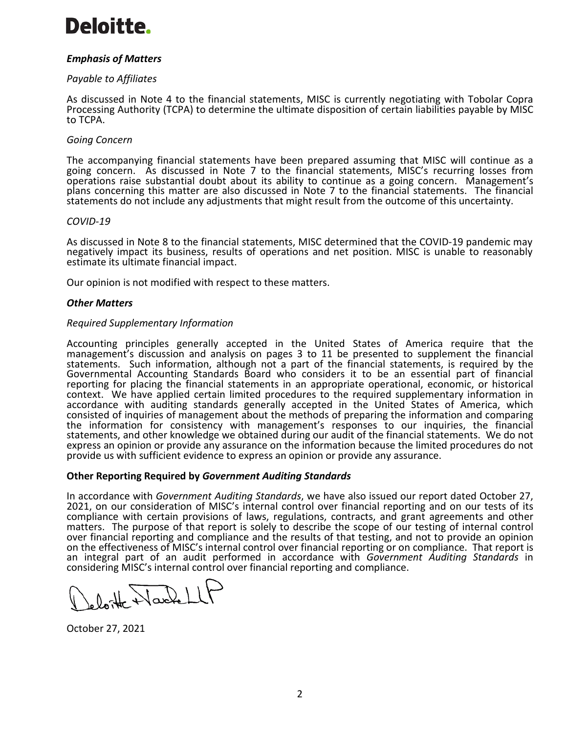# Deloitte.

# *Emphasis of Matters*

# *Payable to Affiliates*

As discussed in Note 4 to the financial statements, MISC is currently negotiating with Tobolar Copra Processing Authority (TCPA) to determine the ultimate disposition of certain liabilities payable by MISC to TCPA.

# *Going Concern*

The accompanying financial statements have been prepared assuming that MISC will continue as a going concern. As discussed in Note 7 to the financial statements, MISC's recurring losses from operations raise substantial doubt about its ability to continue as a going concern. Management's plans concerning this matter are also discussed in Note 7 to the financial statements. The financial statements do not include any adjustments that might result from the outcome of this uncertainty.

# *COVID-19*

As discussed in Note 8 to the financial statements, MISC determined that the COVID-19 pandemic may negatively impact its business, results of operations and net position. MISC is unable to reasonably estimate its ultimate financial impact.

Our opinion is not modified with respect to these matters.

# *Other Matters*

# *Required Supplementary Information*

Accounting principles generally accepted in the United States of America require that the management's discussion and analysis on pages 3 to 11 be presented to supplement the financial statements. Such information, although not a part of the financial statements, is required by the Governmental Accounting Standards Board who considers it to be an essential part of financial reporting for placing the financial statements in an appropriate operational, economic, or historical context. We have applied certain limited procedures to the required supplementary information in accordance with auditing standards generally accepted in the United States of America, which consisted of inquiries of management about the methods of preparing the information and comparing the information for consistency with management's responses to our inquiries, the financial statements, and other knowledge we obtained during our audit of the financial statements. We do not express an opinion or provide any assurance on the information because the limited procedures do not provide us with sufficient evidence to express an opinion or provide any assurance.

# **Other Reporting Required by** *Government Auditing Standards*

In accordance with *Government Auditing Standards*, we have also issued our report dated October 27, 2021, on our consideration of MISC's internal control over financial reporting and on our tests of its compliance with certain provisions of laws, regulations, contracts, and grant agreements and other matters. The purpose of that report is solely to describe the scope of our testing of internal control over financial reporting and compliance and the results of that testing, and not to provide an opinion on the effectiveness of MISC's internal control over financial reporting or on compliance. That report is an integral part of an audit performed in accordance with *Government Auditing Standards* in considering MISC's internal control over financial reporting and compliance.

loite Wackell

October 27, 2021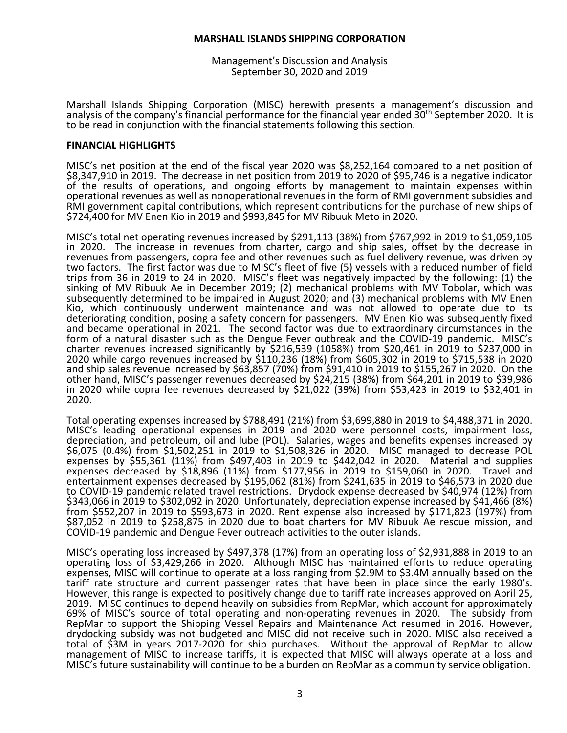Management's Discussion and Analysis September 30, 2020 and 2019

Marshall Islands Shipping Corporation (MISC) herewith presents a management's discussion and analysis of the company's financial performance for the financial year ended  $30<sup>th</sup>$  September 2020. It is to be read in conjunction with the financial statements following this section.

# **FINANCIAL HIGHLIGHTS**

MISC's net position at the end of the fiscal year 2020 was \$8,252,164 compared to a net position of \$8,347,910 in 2019. The decrease in net position from 2019 to 2020 of \$95,746 is a negative indicator of the results of operations, and ongoing efforts by management to maintain expenses within operational revenues as well as nonoperational revenues in the form of RMI government subsidies and RMI government capital contributions, which represent contributions for the purchase of new ships of \$724,400 for MV Enen Kio in 2019 and \$993,845 for MV Ribuuk Meto in 2020.

MISC's total net operating revenues increased by \$291,113 (38%) from \$767,992 in 2019 to \$1,059,105 in 2020. The increase in revenues from charter, cargo and ship sales, offset by the decrease in revenues from passengers, copra fee and other revenues such as fuel delivery revenue, was driven by two factors. The first factor was due to MISC's fleet of five (5) vessels with a reduced number of field trips from 36 in 2019 to 24 in 2020. MISC's fleet was negatively impacted by the following: (1) the sinking of MV Ribuuk Ae in December 2019; (2) mechanical problems with MV Tobolar, which was subsequently determined to be impaired in August 2020; and (3) mechanical problems with MV Enen Kio, which continuously underwent maintenance and was not allowed to operate due to its deteriorating condition, posing a safety concern for passengers. MV Enen Kio was subsequently fixed and became operational in 2021. The second factor was due to extraordinary circumstances in the form of a natural disaster such as the Dengue Fever outbreak and the COVID-19 pandemic. MISC's charter revenues increased significantly by \$216,539 (1058%) from \$20,461 in 2019 to \$237,000 in 2020 while cargo revenues increased by \$110,236 (18%) from \$605,302 in 2019 to \$715,538 in 2020 and ship sales revenue increased by \$63,857 (70%) from \$91,410 in 2019 to \$155,267 in 2020. On the other hand, MISC's passenger revenues decreased by \$24,215 (38%) from \$64,201 in 2019 to \$39,986 in 2020 while copra fee revenues decreased by \$21,022 (39%) from \$53,423 in 2019 to \$32,401 in 2020.

Total operating expenses increased by \$788,491 (21%) from \$3,699,880 in 2019 to \$4,488,371 in 2020. MISC's leading operational expenses in 2019 and 2020 were personnel costs, impairment loss,  $$6,075$  (0.4%) from  $$1,502,251$  in 2019 to  $$1,508,326$  in 2020. MISC managed to decrease POL expenses by \$55,361 (11%) from \$497,403 in 2019 to \$442,042 in 2020. Material and supplies expenses decreased by \$18,896 (11%) from \$177,956 in 2019 to \$159,060 in 2020. Travel and entertainment expenses decreased by \$195,062 (81%) from \$241,635 in 2019 to \$46,573 in 2020 due to COVID-19 pandemic related travel restrictions. Drydock expense decreased by \$40,974 (12%) from \$343,066 in 2019 to \$302,092 in 2020. Unfortunately, depreciation expense increased by \$41,466 (8%) from \$552,207 in 2019 to \$593,673 in 2020. Rent expense also increased by \$171,823 (197%) from \$87,052 in 2019 to \$258,875 in 2020 due to boat charters for MV Ribuuk Ae rescue mission, and COVID-19 pandemic and Dengue Fever outreach activities to the outer islands.

MISC's operating loss increased by \$497,378 (17%) from an operating loss of \$2,931,888 in 2019 to an operating loss of \$3,429,266 in 2020. Although MISC has maintained efforts to reduce operating expenses, MISC will continue to operate at a loss ranging from \$2.9M to \$3.4M annually based on the tariff rate structure and current passenger rates that have been in place since the early 1980's. However, this range is expected to positively change due to tariff rate increases approved on April 25, 2019. MISC continues to depend heavily on subsidies from RepMar, which account for approximately 69% of MISC's source of total operating and non-operating revenues in 2020. The subsidy from RepMar to support the Shipping Vessel Repairs and Maintenance Act resumed in 2016. However, drydocking subsidy was not budgeted and MISC did not receive such in 2020. MISC also received a total of \$3M in years 2017-2020 for ship purchases. Without the approval of RepMar to allow management of MISC to increase tariffs, it is expected that MISC will always operate at a loss and MISC's future sustainability will continue to be a burden on RepMar as a community service obligation.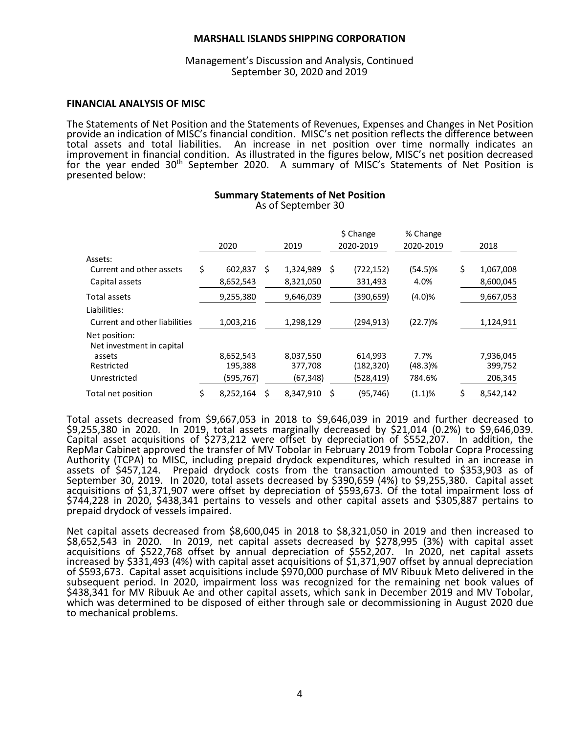#### Management's Discussion and Analysis, Continued September 30, 2020 and 2019

#### **FINANCIAL ANALYSIS OF MISC**

The Statements of Net Position and the Statements of Revenues, Expenses and Changes in Net Position provide an indication of MISC's financial condition. MISC's net position reflects the difference between total assets and total liabilities. An increase in net position over time normally indicates an improvement in financial condition. As illustrated in the figures below, MISC's net position decreased for the year ended 30<sup>th</sup> September 2020. A summary of MISC's Statements of Net Position is presented below:

|                                                                             | 2020                              |   | 2019                              |    | \$ Change<br>2020-2019            | % Change<br>2020-2019        | 2018                            |
|-----------------------------------------------------------------------------|-----------------------------------|---|-----------------------------------|----|-----------------------------------|------------------------------|---------------------------------|
| Assets:<br>Current and other assets<br>Capital assets                       | \$<br>602,837<br>8,652,543        | Ś | 1,324,989<br>8,321,050            | Ŝ. | (722, 152)<br>331,493             | (54.5)%<br>4.0%              | \$<br>1,067,008<br>8,600,045    |
| <b>Total assets</b><br>Liabilities:                                         | 9,255,380                         |   | 9,646,039                         |    | (390,659)                         | (4.0)%                       | 9,667,053                       |
| Current and other liabilities<br>Net position:<br>Net investment in capital | 1,003,216                         |   | 1,298,129                         |    | (294,913)                         | (22.7)%                      | 1,124,911                       |
| assets<br>Restricted<br>Unrestricted                                        | 8,652,543<br>195,388<br>(595,767) |   | 8,037,550<br>377,708<br>(67, 348) |    | 614,993<br>(182,320)<br>(528,419) | 7.7%<br>$(48.3)\%$<br>784.6% | 7,936,045<br>399,752<br>206,345 |
| Total net position                                                          | \$<br>8,252,164                   | S | 8,347,910                         | S  | (95, 746)                         | (1.1)%                       | \$<br>8,542,142                 |

**Summary Statements of Net Position** As of September 30

Total assets decreased from \$9,667,053 in 2018 to \$9,646,039 in 2019 and further decreased to \$9,255,380 in 2020. In 2019, total assets marginally decreased by \$21,014 (0.2%) to \$9,646,039. Capital asset acquisitions of \$273,212 were offset by depreciation of \$552,207. In addition, the RepMar Cabinet approved the transfer of MV Tobolar in February 2019 from Tobolar Copra Processing Authority (TCPA) to MISC, including prepaid drydock expenditures, which resulted in an increase in assets of \$457,124. Prepaid drydock costs from the transaction amounted to \$353,903 as of September 30, 2019. In 2020, total assets decreased by \$390,659 (4%) to \$9,255,380. Capital asset acquisitions of \$1,371,907 were offset by depreciation of \$593,673. Of the total impairment loss of<br>\$744,228 in 2020, \$438,341 pertains to vessels and other capital assets and \$305,887 pertains to prepaid drydock of vessels impaired.

Net capital assets decreased from \$8,600,045 in 2018 to \$8,321,050 in 2019 and then increased to \$8,652,543 in 2020. In 2019, net capital assets decreased by \$278,995 (3%) with capital asset acquisitions of \$522,768 offset by annual depreciation of \$552,207. In 2020, net capital assets increased by \$331,493 (4%) with capital asset acquisitions of \$1,371,907 offset by annual depreciation of \$593,673. Capital asset acquisitions include \$970,000 purchase of MV Ribuuk Meto delivered in the subsequent period. In 2020, impairment loss was recognized for the remaining net book values of \$438,341 for MV Ribuuk Ae and other capital assets, which sank in December 2019 and MV Tobolar,<br>which was determined to be disposed of either through sale or decommissioning in August 2020 due to mechanical problems.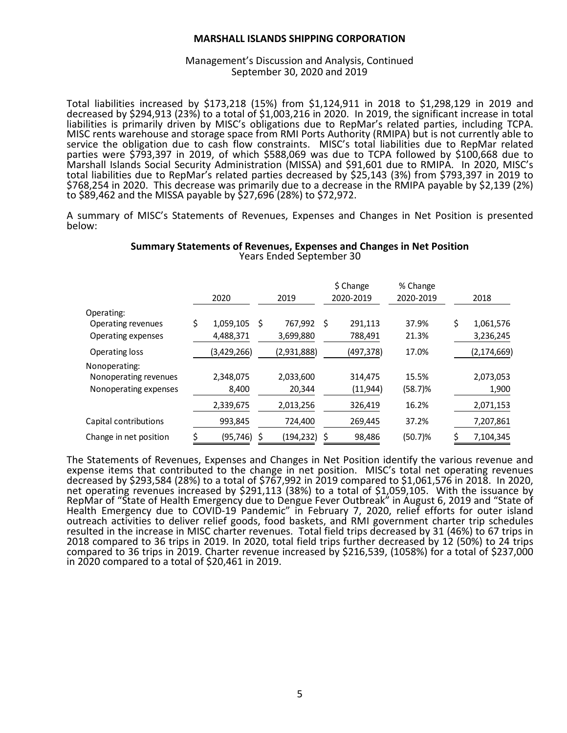#### Management's Discussion and Analysis, Continued September 30, 2020 and 2019

Total liabilities increased by \$173,218 (15%) from \$1,124,911 in 2018 to \$1,298,129 in 2019 and decreased by \$294,913 (23%) to a total of \$1,003,216 in 2020. In 2019, the significant increase in total liabilities is primarily driven by MISC's obligations due to RepMar's related parties, including TCPA. MISC rents warehouse and storage space from RMI Ports Authority (RMIPA) but is not currently able to service the obligation due to cash flow constraints. MISC's total liabilities due to RepMar related parties were \$793,397 in 2019, of which \$588,069 was due to TCPA followed by \$100,668 due to Marshall Islands Social Security Administration (MISSA) and \$91,601 due to RMIPA. In 2020, MISC's total liabilities due to RepMar's related parties decreased by \$25,143 (3%) from \$793,397 in 2019 to \$768,254 in 2020. This decrease was primarily due to a decrease in the RMIPA payable by \$2,139 (2%) to \$89,462 and the MISSA payable by \$27,696 (28%) to \$72,972.

A summary of MISC's Statements of Revenues, Expenses and Changes in Net Position is presented below:

|                                  | 2020                 |   | 2019        |     | \$ Change<br>2020-2019 | % Change<br>2020-2019 | 2018            |
|----------------------------------|----------------------|---|-------------|-----|------------------------|-----------------------|-----------------|
| Operating:<br>Operating revenues | \$<br>1,059,105      | S | 767,992     | \$  | 291,113                | 37.9%                 | \$<br>1,061,576 |
| Operating expenses               | 4,488,371            |   | 3,699,880   |     | 788,491                | 21.3%                 | 3,236,245       |
| Operating loss                   | (3,429,266)          |   | (2,931,888) |     | (497,378)              | 17.0%                 | (2, 174, 669)   |
| Nonoperating:                    |                      |   |             |     |                        |                       |                 |
| Nonoperating revenues            | 2,348,075            |   | 2,033,600   |     | 314,475                | 15.5%                 | 2,073,053       |
| Nonoperating expenses            | 8,400                |   | 20,344      |     | (11,944)               | (58.7)%               | 1,900           |
|                                  | 2,339,675            |   | 2,013,256   |     | 326,419                | 16.2%                 | 2,071,153       |
| Capital contributions            | 993,845              |   | 724,400     |     | 269,445                | 37.2%                 | 7,207,861       |
| Change in net position           | \$<br>$(95, 746)$ \$ |   | (194, 232)  | \$, | 98,486                 | (50.7)%               | 7,104,345       |

#### **Summary Statements of Revenues, Expenses and Changes in Net Position** Years Ended September 30

The Statements of Revenues, Expenses and Changes in Net Position identify the various revenue and expense items that contributed to the change in net position. MISC's total net operating revenues decreased by \$293,584 (28%) to a total of \$767,992 in 2019 compared to \$1,061,576 in 2018. In 2020, net operating revenues increased by \$291,113 (38%) to a total of \$1,059,105. With the issuance by RepMar of "State of Health Emergency due to Dengue Fever Outbreak" in August 6, 2019 and "State of Health Emergency due to COVID-19 Pandemic" in February 7, 2020, relief efforts for outer island outreach activities to deliver relief goods, food baskets, and RMI government charter trip schedules resulted in the increase in MISC charter revenues. Total field trips decreased by 31 (46%) to 67 trips in 2018 compared to 36 trips in 2019. In 2020, total field trips further decreased by 12 (50%) to 24 trips compared to 36 trips in 2019. Charter revenue increased by \$216,539, (1058%) for a total of \$237,000 in 2020 compared to a total of \$20,461 in 2019.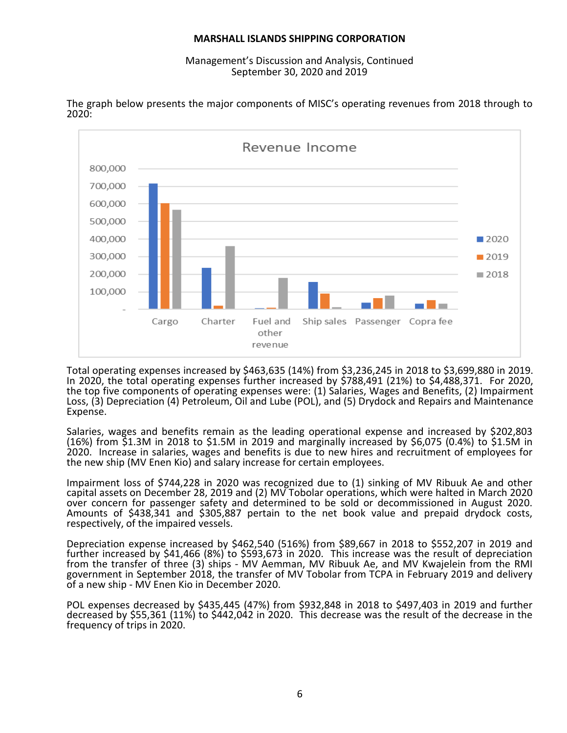Management's Discussion and Analysis, Continued September 30, 2020 and 2019



The graph below presents the major components of MISC's operating revenues from 2018 through to 2020:

Total operating expenses increased by \$463,635 (14%) from \$3,236,245 in 2018 to \$3,699,880 in 2019.<br>In 2020, the total operating expenses further increased by \$788,491 (21%) to \$4,488,371. For 2020, the top five components Loss, (3) Depreciation (4) Petroleum, Oil and Lube (POL), and (5) Drydock and Repairs and Maintenance Expense.

Salaries, wages and benefits remain as the leading operational expense and increased by \$202,803 (16%) from \$1.3M in 2018 to \$1.5M in 2019 and marginally increased by \$6,075 (0.4%) to \$1.5M in 2020. Increase in salaries, wages and benefits is due to new hires and recruitment of employees for the new ship (MV Enen Kio) and salary increase for certain employees.

Impairment loss of \$744,228 in 2020 was recognized due to (1) sinking of MV Ribuuk Ae and other capital assets on December 28, 2019 and (2) MV Tobolar operations, which were halted in March 2020 over concern for passenger safety and determined to be sold or decommissioned in August 2020. Amounts of \$438,341 and \$305,887 pertain to the net book value and prepaid drydock costs, respectively, of the impaired vessels.

Depreciation expense increased by \$462,540 (516%) from \$89,667 in 2018 to \$552,207 in 2019 and further increased by \$41,466 (8%) to \$593,673 in 2020. This increase was the result of depreciation from the transfer of three (3) ships - MV Aemman, MV Ribuuk Ae, and MV Kwajelein from the RMI government in September 2018, the transfer of MV Tobolar from TCPA in February 2019 and delivery of a new ship - MV Enen Kio in December 2020.

POL expenses decreased by \$435,445 (47%) from \$932,848 in 2018 to \$497,403 in 2019 and further decreased by \$55,361 (11%) to \$442,042 in 2020. This decrease was the result of the decrease in the frequency of trips in 2020.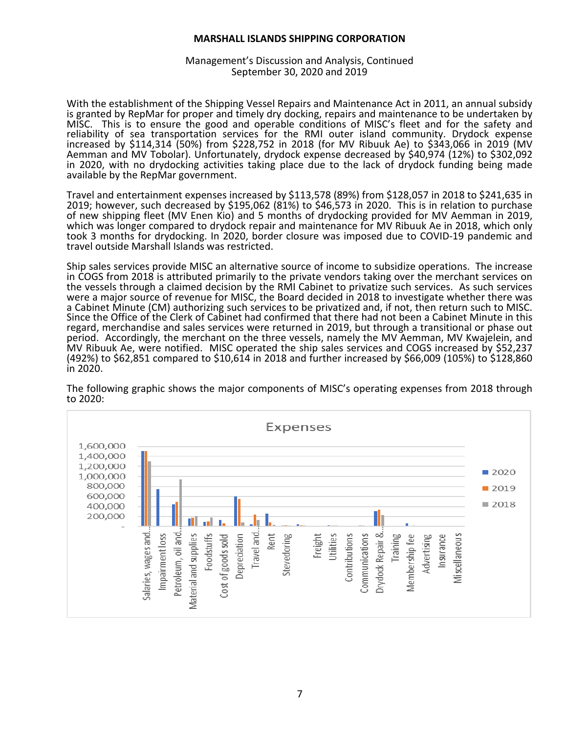Management's Discussion and Analysis, Continued September 30, 2020 and 2019

With the establishment of the Shipping Vessel Repairs and Maintenance Act in 2011, an annual subsidy is granted by RepMar for proper and timely dry docking, repairs and maintenance to be undertaken by MISC. This is to ensure the good and operable conditions of MISC's fleet and for the safety and reliability of sea transportation services for the RMI outer island community. Drydock expense increased by \$114,314 (50%) from \$228,752 in 2018 (for MV Ribuuk Ae) to \$343,066 in 2019 (MV Aemman and MV Tobolar). Unfortunately, drydock expense decreased by \$40,974 (12%) to \$302,092 in 2020, with no drydocking activities taking place due to the lack of drydock funding being made available by the RepMar government.

Travel and entertainment expenses increased by \$113,578 (89%) from \$128,057 in 2018 to \$241,635 in 2019; however, such decreased by \$195,062 (81%) to \$46,573 in 2020. This is in relation to purchase<br>of new shipping fleet (MV Enen Kio) and 5 months of drydocking provided for MV Aemman in 2019, which was longer compared to drydock repair and maintenance for MV Ribuuk Ae in 2018, which only took 3 months for drydocking. In 2020, border closure was imposed due to COVID-19 pandemic and travel outside Marshall Islands was restricted.

Ship sales services provide MISC an alternative source of income to subsidize operations. The increase in COGS from 2018 is attributed primarily to the private vendors taking over the merchant services on the vessels through a claimed decision by the RMI Cabinet to privatize such services. As such services were a major source of revenue for MISC, the Board decided in 2018 to investigate whether there was a Cabinet Minute (CM) authorizing such services to be privatized and, if not, then return such to MISC. Since the Office of the Clerk of Cabinet had confirmed that there had not been a Cabinet Minute in this regard, merchandise and sales services were returned in 2019, but through a transitional or phase out period. Accordingly, the merchant on the three vessels, namely the MV Aemman, MV Kwajelein, and MV Ribuuk Ae, were notified. MISC operated the ship sales services and COGS increased by \$52,237 (492%) to \$62,851 compared to \$10,614 in 2018 and further increased by \$66,009 (105%) to \$128,860 in 2020.



The following graphic shows the major components of MISC's operating expenses from 2018 through to 2020: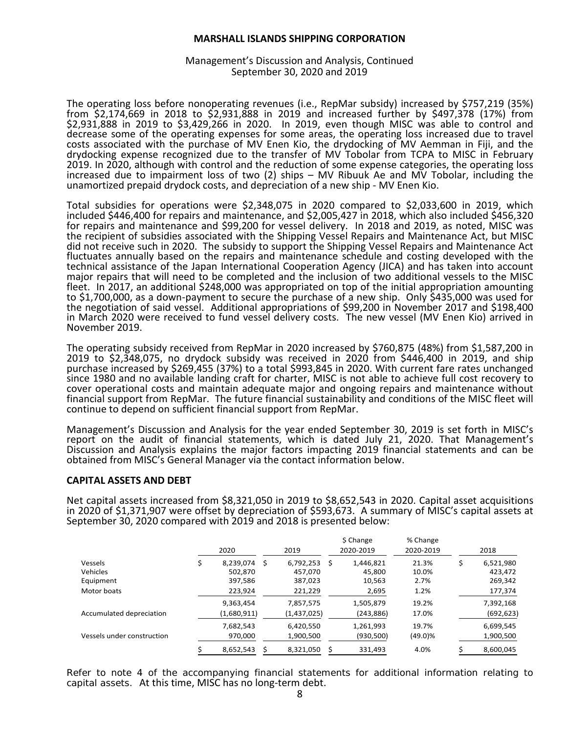Management's Discussion and Analysis, Continued September 30, 2020 and 2019

The operating loss before nonoperating revenues (i.e., RepMar subsidy) increased by \$757,219 (35%) from \$2,174,669 in 2018 to \$2,931,888 in 2019 and increased further by \$497,378 (17%) from \$2,931,888 in 2019 to \$3,429,266 in 2020. In 2019, even though MISC was able to control and decrease some of the operating expenses for some areas, the operating loss increased due to travel costs associated with the purchase of MV Enen Kio, the drydocking of MV Aemman in Fiji, and the drydocking expense recognized due to the transfer of MV Tobolar from TCPA to MISC in February 2019. In 2020, although with control and the reduction of some expense categories, the operating loss increased due to impairment loss of two (2) ships – MV Ribuuk Ae and MV Tobolar, including the unamortized prepaid drydock costs, and depreciation of a new ship - MV Enen Kio.

Total subsidies for operations were \$2,348,075 in 2020 compared to \$2,033,600 in 2019, which included \$446,400 for repairs and maintenance, and \$2,005,427 in 2018, which also included \$456,320 for repairs and maintenance and \$99,200 for vessel delivery. In 2018 and 2019, as noted, MISC was the recipient of subsidies associated with the Shipping Vessel Repairs and Maintenance Act, but MISC did not receive such in 2020. The subsidy to support the Shipping Vessel Repairs and Maintenance Act fluctuates annually based on the repairs and maintenance schedule and costing developed with the technical assistance of the Japan International Cooperation Agency (JICA) and has taken into account major repairs that will need to be completed and the inclusion of two additional vessels to the MISC fleet. In 2017, an additional \$248,000 was appropriated on top of the initial appropriation amounting to \$1,700,000, as a down-payment to secure the purchase of a new ship. Only \$435,000 was used for the negotiation of said vessel. Additional appropriations of \$99,200 in November 2017 and \$198,400 in March 2020 were received to fund vessel delivery costs. The new vessel (MV Enen Kio) arrived in November 2019.

The operating subsidy received from RepMar in 2020 increased by \$760,875 (48%) from \$1,587,200 in 2019 to \$2,348,075, no drydock subsidy was received in 2020 from \$446,400 in 2019, and ship purchase increased by \$269,455 (37%) to a total \$993,845 in 2020. With current fare rates unchanged since 1980 and no available landing craft for charter, MISC is not able to achieve full cost recovery to cover operational costs and maintain adequate major and ongoing repairs and maintenance without financial support from RepMar. The future financial sustainability and conditions of the MISC fleet will continue to depend on sufficient financial support from RepMar.

Management's Discussion and Analysis for the year ended September 30, 2019 is set forth in MISC's report on the audit of financial statements, which is dated July 21, 2020. That Management's Discussion and Analysis explains the major factors impacting 2019 financial statements and can be obtained from MISC's General Manager via the contact information below.

#### **CAPITAL ASSETS AND DEBT**

Net capital assets increased from \$8,321,050 in 2019 to \$8,652,543 in 2020. Capital asset acquisitions in 2020 of \$1,371,907 were offset by depreciation of \$593,673. A summary of MISC's capital assets at September 30, 2020 compared with 2019 and 2018 is presented below:

|                            |   | 2020        |   | 2019        |   | \$ Change<br>2020-2019 | % Change<br>2020-2019 | 2018            |
|----------------------------|---|-------------|---|-------------|---|------------------------|-----------------------|-----------------|
| Vessels                    | Ş | 8,239,074   | S | 6,792,253   | S | 1.446.821              | 21.3%                 | \$<br>6,521,980 |
| Vehicles                   |   | 502.870     |   | 457,070     |   | 45.800                 | 10.0%                 | 423,472         |
| Equipment                  |   | 397,586     |   | 387,023     |   | 10,563                 | 2.7%                  | 269,342         |
| Motor boats                |   | 223,924     |   | 221,229     |   | 2,695                  | 1.2%                  | 177,374         |
|                            |   | 9,363,454   |   | 7,857,575   |   | 1,505,879              | 19.2%                 | 7,392,168       |
| Accumulated depreciation   |   | (1,680,911) |   | (1,437,025) |   | (243,886)              | 17.0%                 | (692, 623)      |
|                            |   | 7,682,543   |   | 6,420,550   |   | 1,261,993              | 19.7%                 | 6,699,545       |
| Vessels under construction |   | 970,000     |   | 1,900,500   |   | (930, 500)             | $(49.0)\%$            | 1,900,500       |
|                            |   | 8,652,543   |   | 8,321,050   |   | 331.493                | 4.0%                  | 8,600,045       |

Refer to note 4 of the accompanying financial statements for additional information relating to capital assets. At this time, MISC has no long-term debt.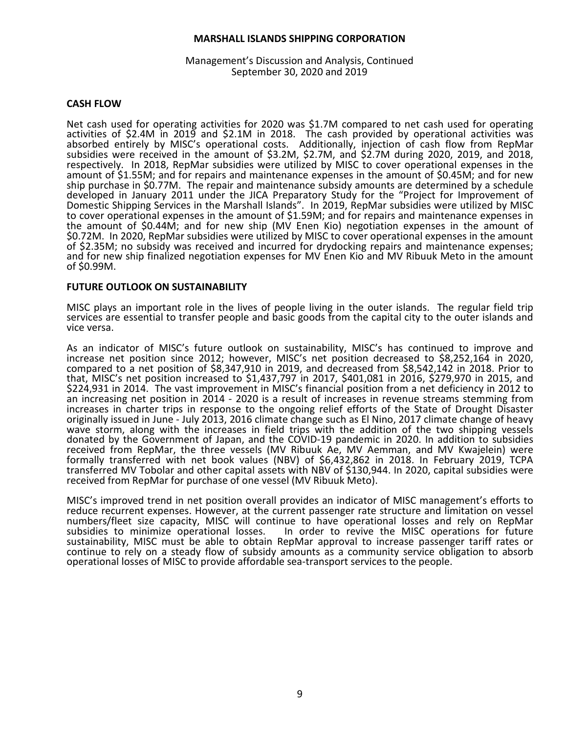Management's Discussion and Analysis, Continued September 30, 2020 and 2019

## **CASH FLOW**

Net cash used for operating activities for 2020 was \$1.7M compared to net cash used for operating activities was<br>activities of \$2.4M in 2019 and \$2.1M in 2018. The cash provided by operational activities was absorbed entirely by MISC's operational costs. Additionally, injection of cash flow from RepMar subsidies were received in the amount of \$3.2M, \$2.7M, and \$2.7M during 2020, 2019, and 2018, respectively. In 2018, RepMar subsidies were utilized by MISC to cover operational expenses in the amount of \$1.55M; and for repairs and maintenance expenses in the amount of \$0.45M; and for new ship purchase in \$0.77M. The repair and maintenance subsidy amounts are determined by a schedule developed in January 2011 under the JICA Preparatory Study for the "Project for Improvement of Domestic Shipping Services in the Marshall Islands". In 2019, RepMar subsidies were utilized by MISC to cover operational expenses in the amount of \$1.59M; and for repairs and maintenance expenses in the amount of \$0.44M; and for new ship (MV Enen Kio) negotiation expenses in the amount of \$0.72M. In 2020, RepMar subsidies were utilized by MISC to cover operational expenses in the amount of \$2.35M; no subsidy was received and incurred for drydocking repairs and maintenance expenses; and for new ship finalized negotiation expenses for MV Enen Kio and MV Ribuuk Meto in the amount of \$0.99M.

## **FUTURE OUTLOOK ON SUSTAINABILITY**

MISC plays an important role in the lives of people living in the outer islands. The regular field trip services are essential to transfer people and basic goods from the capital city to the outer islands and vice versa.

As an indicator of MISC's future outlook on sustainability, MISC's has continued to improve and increase net position since 2012; however, MISC's net position since 2012; compared to a net position of \$8,347,910 in 2019, and decreased from \$8,542,142 in 2018. Prior to that, MISC's net position increased to \$1,437,797 in 2017, \$401,081 in 2016, \$279,970 in 2015, and \$224,931 in 2014. The vast improvement in MISC's financial position from a net deficiency in 2012 to an increasing net position in 2014 - 2020 is a result of increases in revenue streams stemming from increases in charter trips in response to the ongoing relief efforts of the State of Drought Disaster originally issued in June - July 2013, 2016 climate change such as El Nino, 2017 climate change of heavy wave storm, along with the increases in field trips with the addition of the two shipping vessels donated by the Government of Japan, and the COVID-19 pandemic in 2020. In addition to subsidies received from RepMar, the three vessels (MV Ribuuk Ae, MV Aemman, and MV Kwajelein) were formally transferred with net book values (NBV) of \$6,432,862 in 2018. In February 2019, TCPA transferred MV Tobolar and other capital assets with NBV of \$130,944. In 2020, capital subsidies were received from RepMar for purchase of one vessel (MV Ribuuk Meto).

MISC's improved trend in net position overall provides an indicator of MISC management's efforts to reduce recurrent expenses. However, at the current passenger rate structure and limitation on vessel numbers/fleet size capacity, MISC will continue to have operational losses and rely on RepMar subsidies to minimize operational losses. In order to revive the MISC operations for future In order to revive the MISC operations for future sustainability, MISC must be able to obtain RepMar approval to increase passenger tariff rates or continue to rely on a steady flow of subsidy amounts as a community service obligation to absorb operational losses of MISC to provide affordable sea-transport services to the people.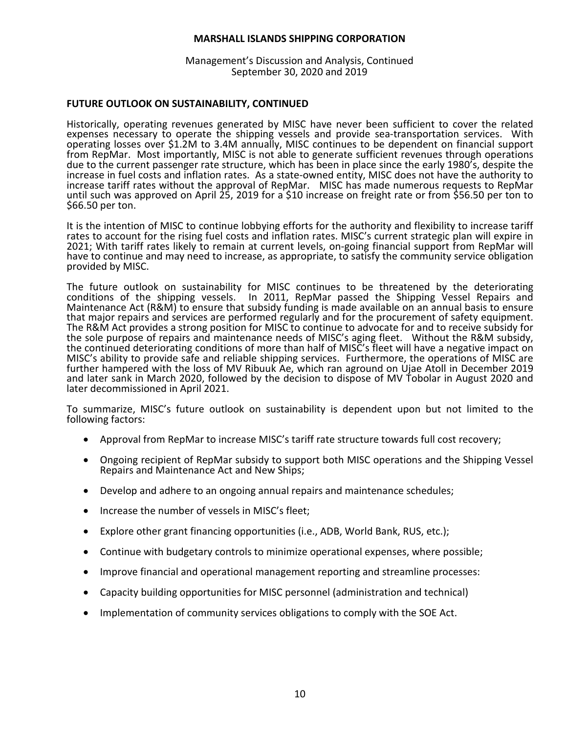Management's Discussion and Analysis, Continued September 30, 2020 and 2019

# **FUTURE OUTLOOK ON SUSTAINABILITY, CONTINUED**

Historically, operating revenues generated by MISC have never been sufficient to cover the related expenses necessary to operate the shipping vessels and provide sea-transportation services. With operating losses over \$1.2M to 3.4M annually, MISC continues to be dependent on financial support from RepMar. Most importantly, MISC is not able to generate sufficient revenues through operations due to the current passenger rate structure, which has been in place since the early 1980's, despite the increase in fuel costs and inflation rates. As a state-owned entity, MISC does not have the authority to increase tariff rates without the approval of RepMar. MISC has made numerous requests to RepMar until such was approved on April 25, 2019 for a \$10 increase on freight rate or from \$56.50 per ton to \$66.50 per ton.

It is the intention of MISC to continue lobbying efforts for the authority and flexibility to increase tariff rates to account for the rising fuel costs and inflation rates. MISC's current strategic plan will expire in 2021; With tariff rates likely to remain at current levels, on-going financial support from RepMar will have to continue and may need to increase, as appropriate, to satisfy the community service obligation provided by MISC.

The future outlook on sustainability for MISC continues to be threatened by the deteriorating conditions of the shipping vessels. In 2011, RepMar passed the Shipping Vessel Repairs and Maintenance Act (R&M) to ensure that subsidy funding is made available on an annual basis to ensure that major repairs and services are performed regularly and for the procurement of safety equipment. The R&M Act provides a strong position for MISC to continue to advocate for and to receive subsidy for the sole purpose of repairs and maintenance needs of MISC's aging fleet. Without the R&M subsidy, the continued deteriorating conditions of more than half of MISC's fleet will have a negative impact on MISC's ability to provide safe and reliable shipping services. Furthermore, the operations of MISC are further hampered with the loss of MV Ribuuk Ae, which ran aground on Ujae Atoll in December 2019 and later sank in March 2020, followed by the decision to dispose of MV Tobolar in August 2020 and later decommissioned in April 2021.

To summarize, MISC's future outlook on sustainability is dependent upon but not limited to the following factors:

- Approval from RepMar to increase MISC's tariff rate structure towards full cost recovery;
- Ongoing recipient of RepMar subsidy to support both MISC operations and the Shipping Vessel Repairs and Maintenance Act and New Ships;
- Develop and adhere to an ongoing annual repairs and maintenance schedules;
- Increase the number of vessels in MISC's fleet:
- Explore other grant financing opportunities (i.e., ADB, World Bank, RUS, etc.);
- Continue with budgetary controls to minimize operational expenses, where possible;
- Improve financial and operational management reporting and streamline processes:
- Capacity building opportunities for MISC personnel (administration and technical)
- Implementation of community services obligations to comply with the SOE Act.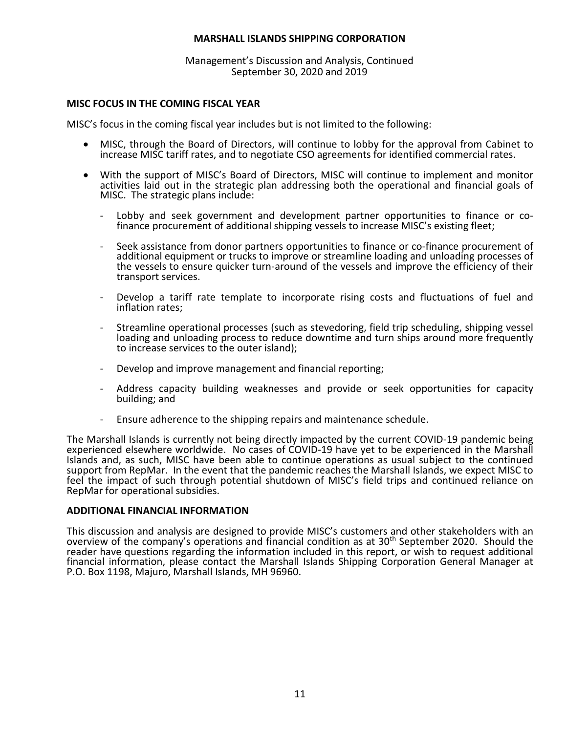Management's Discussion and Analysis, Continued September 30, 2020 and 2019

## **MISC FOCUS IN THE COMING FISCAL YEAR**

MISC's focus in the coming fiscal year includes but is not limited to the following:

- MISC, through the Board of Directors, will continue to lobby for the approval from Cabinet to increase MISC tariff rates, and to negotiate CSO agreements for identified commercial rates.
- With the support of MISC's Board of Directors, MISC will continue to implement and monitor activities laid out in the strategic plan addressing both the operational and financial goals of MISC. The strategic plans include:
	- Lobby and seek government and development partner opportunities to finance or co- finance procurement of additional shipping vessels to increase MISC's existing fleet;
	- Seek assistance from donor partners opportunities to finance or co-finance procurement of additional equipment or trucks to improve or streamline loading and unloading processes of the vessels to ensure quicker turn-around of the vessels and improve the efficiency of their transport services.
	- Develop a tariff rate template to incorporate rising costs and fluctuations of fuel and inflation rates;
	- Streamline operational processes (such as stevedoring, field trip scheduling, shipping vessel loading and unloading process to reduce downtime and turn ships around more frequently to increase services to the outer island);
	- Develop and improve management and financial reporting;
	- Address capacity building weaknesses and provide or seek opportunities for capacity building; and
	- Ensure adherence to the shipping repairs and maintenance schedule.

The Marshall Islands is currently not being directly impacted by the current COVID-19 pandemic being experienced elsewhere worldwide. No cases of COVID-19 have yet to be experienced in the Marshall Islands and, as such, MISC have been able to continue operations as usual subject to the continued support from RepMar. In the event that the pandemic reaches the Marshall Islands, we expect MISC to feel the impact of such through potential shutdown of MISC's field trips and continued reliance on RepMar for operational subsidies.

#### **ADDITIONAL FINANCIAL INFORMATION**

This discussion and analysis are designed to provide MISC's customers and other stakeholders with an overview of the company's operations and financial condition as at 30<sup>th</sup> September 2020. Should the reader have questions regarding the information included in this report, or wish to request additional financial information, please contact the Marshall Islands Shipping Corporation General Manager at P.O. Box 1198, Majuro, Marshall Islands, MH 96960.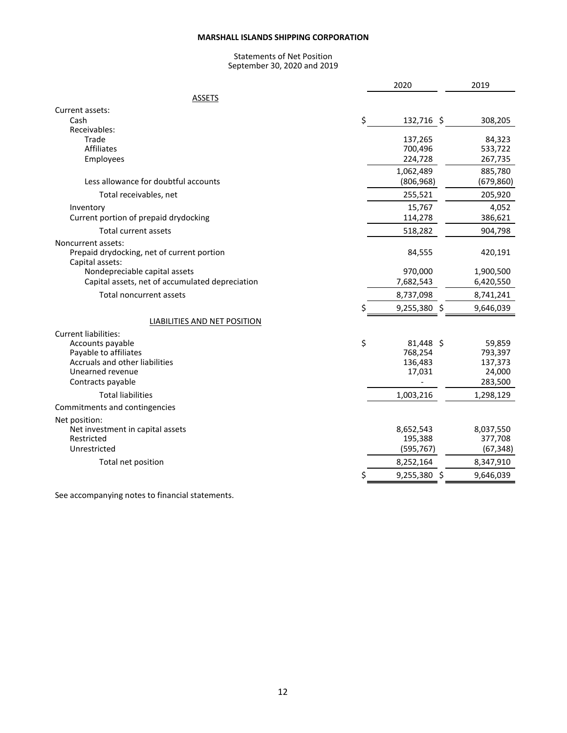#### Statements of Net Position September 30, 2020 and 2019

| <b>ASSETS</b><br>Current assets:<br>\$<br>Cash<br>132,716 \$<br>308,205<br>Receivables:<br>137,265<br>Trade<br>84,323<br>533,722<br><b>Affiliates</b><br>700,496<br>224,728<br>267,735<br>Employees<br>1,062,489<br>885,780<br>Less allowance for doubtful accounts<br>(806, 968)<br>(679, 860)<br>205,920<br>255,521<br>Total receivables, net<br>15,767<br>4,052<br>Inventory<br>Current portion of prepaid drydocking<br>114,278<br>386,621<br><b>Total current assets</b><br>904,798<br>518,282<br>Noncurrent assets:<br>Prepaid drydocking, net of current portion<br>84,555<br>420,191<br>Capital assets:<br>Nondepreciable capital assets<br>970,000<br>1,900,500<br>Capital assets, net of accumulated depreciation<br>7,682,543<br>6,420,550<br>Total noncurrent assets<br>8,737,098<br>8,741,241<br>9,255,380 \$<br>9,646,039<br>Ś<br>LIABILITIES AND NET POSITION<br><b>Current liabilities:</b><br>\$<br>Accounts payable<br>81,448 \$<br>59,859<br>Payable to affiliates<br>768,254<br>793,397<br>Accruals and other liabilities<br>136,483<br>137,373<br>Unearned revenue<br>24,000<br>17,031<br>283,500<br>Contracts payable<br><b>Total liabilities</b><br>1,003,216<br>1,298,129<br>Commitments and contingencies<br>Net position:<br>Net investment in capital assets<br>8,652,543<br>8,037,550<br>377,708<br>Restricted<br>195,388<br>(67, 348)<br>Unrestricted<br>(595, 767)<br>Total net position<br>8,252,164<br>8,347,910<br>9,255,380 \$<br>9,646,039 |  | 2020 | 2019 |
|-------------------------------------------------------------------------------------------------------------------------------------------------------------------------------------------------------------------------------------------------------------------------------------------------------------------------------------------------------------------------------------------------------------------------------------------------------------------------------------------------------------------------------------------------------------------------------------------------------------------------------------------------------------------------------------------------------------------------------------------------------------------------------------------------------------------------------------------------------------------------------------------------------------------------------------------------------------------------------------------------------------------------------------------------------------------------------------------------------------------------------------------------------------------------------------------------------------------------------------------------------------------------------------------------------------------------------------------------------------------------------------------------------------------------------------------------------------------------------|--|------|------|
|                                                                                                                                                                                                                                                                                                                                                                                                                                                                                                                                                                                                                                                                                                                                                                                                                                                                                                                                                                                                                                                                                                                                                                                                                                                                                                                                                                                                                                                                               |  |      |      |
|                                                                                                                                                                                                                                                                                                                                                                                                                                                                                                                                                                                                                                                                                                                                                                                                                                                                                                                                                                                                                                                                                                                                                                                                                                                                                                                                                                                                                                                                               |  |      |      |
|                                                                                                                                                                                                                                                                                                                                                                                                                                                                                                                                                                                                                                                                                                                                                                                                                                                                                                                                                                                                                                                                                                                                                                                                                                                                                                                                                                                                                                                                               |  |      |      |
|                                                                                                                                                                                                                                                                                                                                                                                                                                                                                                                                                                                                                                                                                                                                                                                                                                                                                                                                                                                                                                                                                                                                                                                                                                                                                                                                                                                                                                                                               |  |      |      |
|                                                                                                                                                                                                                                                                                                                                                                                                                                                                                                                                                                                                                                                                                                                                                                                                                                                                                                                                                                                                                                                                                                                                                                                                                                                                                                                                                                                                                                                                               |  |      |      |
|                                                                                                                                                                                                                                                                                                                                                                                                                                                                                                                                                                                                                                                                                                                                                                                                                                                                                                                                                                                                                                                                                                                                                                                                                                                                                                                                                                                                                                                                               |  |      |      |
|                                                                                                                                                                                                                                                                                                                                                                                                                                                                                                                                                                                                                                                                                                                                                                                                                                                                                                                                                                                                                                                                                                                                                                                                                                                                                                                                                                                                                                                                               |  |      |      |
|                                                                                                                                                                                                                                                                                                                                                                                                                                                                                                                                                                                                                                                                                                                                                                                                                                                                                                                                                                                                                                                                                                                                                                                                                                                                                                                                                                                                                                                                               |  |      |      |
|                                                                                                                                                                                                                                                                                                                                                                                                                                                                                                                                                                                                                                                                                                                                                                                                                                                                                                                                                                                                                                                                                                                                                                                                                                                                                                                                                                                                                                                                               |  |      |      |
|                                                                                                                                                                                                                                                                                                                                                                                                                                                                                                                                                                                                                                                                                                                                                                                                                                                                                                                                                                                                                                                                                                                                                                                                                                                                                                                                                                                                                                                                               |  |      |      |
|                                                                                                                                                                                                                                                                                                                                                                                                                                                                                                                                                                                                                                                                                                                                                                                                                                                                                                                                                                                                                                                                                                                                                                                                                                                                                                                                                                                                                                                                               |  |      |      |
|                                                                                                                                                                                                                                                                                                                                                                                                                                                                                                                                                                                                                                                                                                                                                                                                                                                                                                                                                                                                                                                                                                                                                                                                                                                                                                                                                                                                                                                                               |  |      |      |
|                                                                                                                                                                                                                                                                                                                                                                                                                                                                                                                                                                                                                                                                                                                                                                                                                                                                                                                                                                                                                                                                                                                                                                                                                                                                                                                                                                                                                                                                               |  |      |      |
|                                                                                                                                                                                                                                                                                                                                                                                                                                                                                                                                                                                                                                                                                                                                                                                                                                                                                                                                                                                                                                                                                                                                                                                                                                                                                                                                                                                                                                                                               |  |      |      |
|                                                                                                                                                                                                                                                                                                                                                                                                                                                                                                                                                                                                                                                                                                                                                                                                                                                                                                                                                                                                                                                                                                                                                                                                                                                                                                                                                                                                                                                                               |  |      |      |
|                                                                                                                                                                                                                                                                                                                                                                                                                                                                                                                                                                                                                                                                                                                                                                                                                                                                                                                                                                                                                                                                                                                                                                                                                                                                                                                                                                                                                                                                               |  |      |      |
|                                                                                                                                                                                                                                                                                                                                                                                                                                                                                                                                                                                                                                                                                                                                                                                                                                                                                                                                                                                                                                                                                                                                                                                                                                                                                                                                                                                                                                                                               |  |      |      |
|                                                                                                                                                                                                                                                                                                                                                                                                                                                                                                                                                                                                                                                                                                                                                                                                                                                                                                                                                                                                                                                                                                                                                                                                                                                                                                                                                                                                                                                                               |  |      |      |
|                                                                                                                                                                                                                                                                                                                                                                                                                                                                                                                                                                                                                                                                                                                                                                                                                                                                                                                                                                                                                                                                                                                                                                                                                                                                                                                                                                                                                                                                               |  |      |      |
|                                                                                                                                                                                                                                                                                                                                                                                                                                                                                                                                                                                                                                                                                                                                                                                                                                                                                                                                                                                                                                                                                                                                                                                                                                                                                                                                                                                                                                                                               |  |      |      |
|                                                                                                                                                                                                                                                                                                                                                                                                                                                                                                                                                                                                                                                                                                                                                                                                                                                                                                                                                                                                                                                                                                                                                                                                                                                                                                                                                                                                                                                                               |  |      |      |
|                                                                                                                                                                                                                                                                                                                                                                                                                                                                                                                                                                                                                                                                                                                                                                                                                                                                                                                                                                                                                                                                                                                                                                                                                                                                                                                                                                                                                                                                               |  |      |      |
|                                                                                                                                                                                                                                                                                                                                                                                                                                                                                                                                                                                                                                                                                                                                                                                                                                                                                                                                                                                                                                                                                                                                                                                                                                                                                                                                                                                                                                                                               |  |      |      |
|                                                                                                                                                                                                                                                                                                                                                                                                                                                                                                                                                                                                                                                                                                                                                                                                                                                                                                                                                                                                                                                                                                                                                                                                                                                                                                                                                                                                                                                                               |  |      |      |
|                                                                                                                                                                                                                                                                                                                                                                                                                                                                                                                                                                                                                                                                                                                                                                                                                                                                                                                                                                                                                                                                                                                                                                                                                                                                                                                                                                                                                                                                               |  |      |      |
|                                                                                                                                                                                                                                                                                                                                                                                                                                                                                                                                                                                                                                                                                                                                                                                                                                                                                                                                                                                                                                                                                                                                                                                                                                                                                                                                                                                                                                                                               |  |      |      |
|                                                                                                                                                                                                                                                                                                                                                                                                                                                                                                                                                                                                                                                                                                                                                                                                                                                                                                                                                                                                                                                                                                                                                                                                                                                                                                                                                                                                                                                                               |  |      |      |
|                                                                                                                                                                                                                                                                                                                                                                                                                                                                                                                                                                                                                                                                                                                                                                                                                                                                                                                                                                                                                                                                                                                                                                                                                                                                                                                                                                                                                                                                               |  |      |      |
|                                                                                                                                                                                                                                                                                                                                                                                                                                                                                                                                                                                                                                                                                                                                                                                                                                                                                                                                                                                                                                                                                                                                                                                                                                                                                                                                                                                                                                                                               |  |      |      |
|                                                                                                                                                                                                                                                                                                                                                                                                                                                                                                                                                                                                                                                                                                                                                                                                                                                                                                                                                                                                                                                                                                                                                                                                                                                                                                                                                                                                                                                                               |  |      |      |
|                                                                                                                                                                                                                                                                                                                                                                                                                                                                                                                                                                                                                                                                                                                                                                                                                                                                                                                                                                                                                                                                                                                                                                                                                                                                                                                                                                                                                                                                               |  |      |      |
|                                                                                                                                                                                                                                                                                                                                                                                                                                                                                                                                                                                                                                                                                                                                                                                                                                                                                                                                                                                                                                                                                                                                                                                                                                                                                                                                                                                                                                                                               |  |      |      |
|                                                                                                                                                                                                                                                                                                                                                                                                                                                                                                                                                                                                                                                                                                                                                                                                                                                                                                                                                                                                                                                                                                                                                                                                                                                                                                                                                                                                                                                                               |  |      |      |

See accompanying notes to financial statements.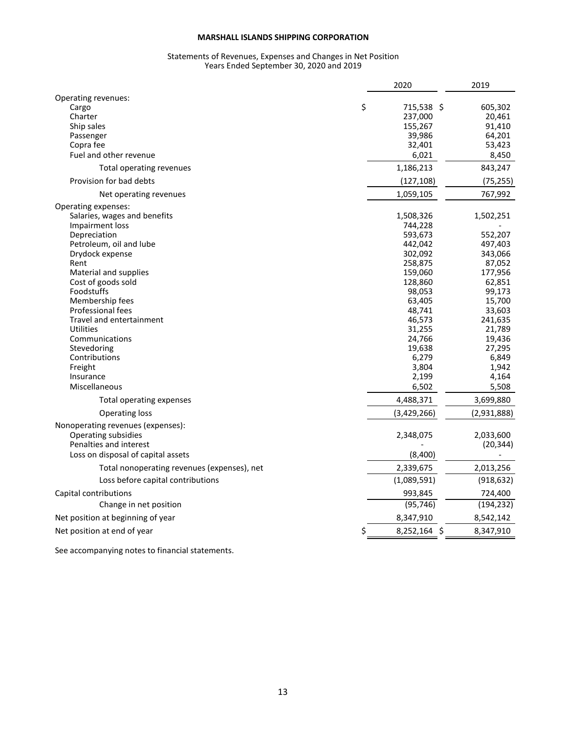#### Statements of Revenues, Expenses and Changes in Net Position Years Ended September 30, 2020 and 2019

|                                             | 2020         | 2019        |
|---------------------------------------------|--------------|-------------|
| Operating revenues:                         |              |             |
| \$<br>Cargo                                 | 715,538 \$   | 605,302     |
| Charter                                     | 237,000      | 20,461      |
| Ship sales                                  | 155,267      | 91,410      |
| Passenger                                   | 39,986       | 64,201      |
| Copra fee                                   | 32,401       | 53,423      |
| Fuel and other revenue                      | 6,021        | 8,450       |
| Total operating revenues                    | 1,186,213    | 843,247     |
| Provision for bad debts                     | (127, 108)   | (75, 255)   |
| Net operating revenues                      | 1,059,105    | 767,992     |
| Operating expenses:                         |              |             |
| Salaries, wages and benefits                | 1,508,326    | 1,502,251   |
| Impairment loss                             | 744,228      |             |
| Depreciation                                | 593,673      | 552,207     |
| Petroleum, oil and lube                     | 442,042      | 497,403     |
| Drydock expense                             | 302,092      | 343,066     |
| Rent                                        | 258,875      | 87,052      |
| Material and supplies                       | 159,060      | 177,956     |
| Cost of goods sold                          | 128,860      | 62,851      |
| Foodstuffs                                  | 98,053       | 99,173      |
| Membership fees                             | 63,405       | 15,700      |
| <b>Professional fees</b>                    | 48,741       | 33,603      |
| Travel and entertainment                    | 46,573       | 241,635     |
| <b>Utilities</b>                            | 31,255       | 21,789      |
| Communications                              | 24,766       | 19,436      |
| Stevedoring                                 | 19,638       | 27,295      |
| Contributions                               | 6,279        | 6,849       |
| Freight                                     | 3,804        | 1,942       |
| Insurance                                   | 2,199        | 4,164       |
| Miscellaneous                               | 6,502        | 5,508       |
| Total operating expenses                    | 4,488,371    | 3,699,880   |
| <b>Operating loss</b>                       | (3,429,266)  | (2,931,888) |
| Nonoperating revenues (expenses):           |              |             |
| Operating subsidies                         | 2,348,075    | 2,033,600   |
| Penalties and interest                      |              | (20, 344)   |
| Loss on disposal of capital assets          | (8,400)      |             |
| Total nonoperating revenues (expenses), net | 2,339,675    | 2,013,256   |
| Loss before capital contributions           | (1,089,591)  | (918, 632)  |
| Capital contributions                       | 993,845      | 724,400     |
| Change in net position                      | (95, 746)    | (194, 232)  |
| Net position at beginning of year           | 8,347,910    | 8,542,142   |
| Net position at end of year                 | 8,252,164 \$ | 8,347,910   |
|                                             |              |             |

See accompanying notes to financial statements.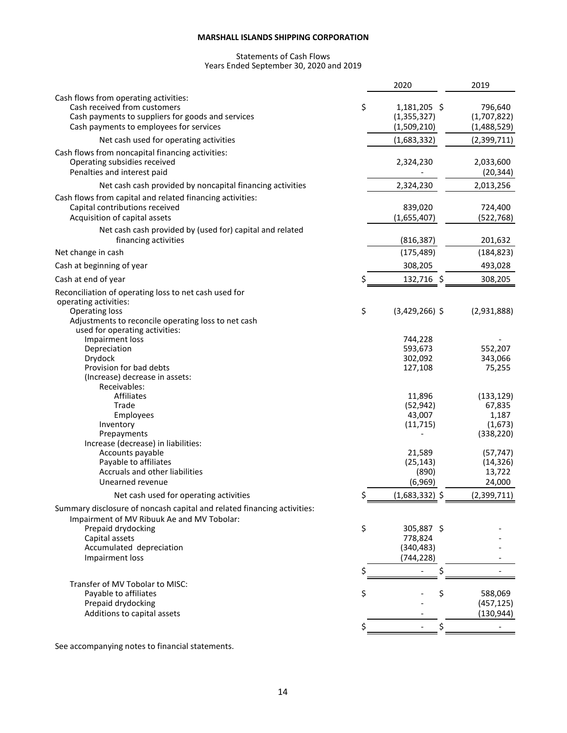#### Statements of Cash Flows Years Ended September 30, 2020 and 2019

|                                                                                                                                                                                                              |          | 2020                                              | 2019                                                   |
|--------------------------------------------------------------------------------------------------------------------------------------------------------------------------------------------------------------|----------|---------------------------------------------------|--------------------------------------------------------|
| Cash flows from operating activities:<br>Cash received from customers<br>Cash payments to suppliers for goods and services<br>Cash payments to employees for services                                        | \$       | 1,181,205 \$<br>(1, 355, 327)<br>(1,509,210)      | 796,640<br>(1,707,822)<br>(1,488,529)                  |
| Net cash used for operating activities                                                                                                                                                                       |          | (1,683,332)                                       | (2,399,711)                                            |
| Cash flows from noncapital financing activities:<br>Operating subsidies received<br>Penalties and interest paid                                                                                              |          | 2,324,230                                         | 2,033,600<br>(20, 344)                                 |
| Net cash cash provided by noncapital financing activities                                                                                                                                                    |          | 2,324,230                                         | 2,013,256                                              |
| Cash flows from capital and related financing activities:<br>Capital contributions received<br>Acquisition of capital assets<br>Net cash cash provided by (used for) capital and related                     |          | 839,020<br>(1,655,407)                            | 724,400<br>(522, 768)                                  |
| financing activities                                                                                                                                                                                         |          | (816, 387)                                        | 201,632                                                |
| Net change in cash                                                                                                                                                                                           |          | (175, 489)                                        | (184, 823)                                             |
| Cash at beginning of year                                                                                                                                                                                    |          | 308,205                                           | 493,028                                                |
| Cash at end of year                                                                                                                                                                                          | S        | 132,716 \$                                        | 308,205                                                |
| Reconciliation of operating loss to net cash used for                                                                                                                                                        |          |                                                   |                                                        |
| operating activities:<br><b>Operating loss</b><br>Adjustments to reconcile operating loss to net cash<br>used for operating activities:                                                                      | \$       | $(3,429,266)$ \$                                  | (2,931,888)                                            |
| Impairment loss<br>Depreciation<br>Drydock<br>Provision for bad debts<br>(Increase) decrease in assets:<br>Receivables:                                                                                      |          | 744,228<br>593,673<br>302,092<br>127,108          | 552,207<br>343,066<br>75,255                           |
| <b>Affiliates</b><br>Trade<br>Employees<br>Inventory<br>Prepayments<br>Increase (decrease) in liabilities:                                                                                                   |          | 11,896<br>(52, 942)<br>43,007<br>(11, 715)        | (133, 129)<br>67,835<br>1,187<br>(1,673)<br>(338, 220) |
| Accounts payable<br>Payable to affiliates<br>Accruals and other liabilities<br>Unearned revenue                                                                                                              |          | 21,589<br>(25, 143)<br>(890)<br>(6,969)           | (57, 747)<br>(14, 326)<br>13,722<br>24,000             |
| Net cash used for operating activities                                                                                                                                                                       | \$       | $(1,683,332)$ \$                                  | (2.399.711)                                            |
| Summary disclosure of noncash capital and related financing activities:<br>Impairment of MV Ribuuk Ae and MV Tobolar:<br>Prepaid drydocking<br>Capital assets<br>Accumulated depreciation<br>Impairment loss | \$       | 305,887 \$<br>778,824<br>(340, 483)<br>(744, 228) |                                                        |
|                                                                                                                                                                                                              | \$       | \$                                                |                                                        |
| Transfer of MV Tobolar to MISC:<br>Payable to affiliates<br>Prepaid drydocking<br>Additions to capital assets                                                                                                | \$<br>\$ | \$<br>\$                                          | 588,069<br>(457, 125)<br>(130, 944)                    |
|                                                                                                                                                                                                              |          |                                                   |                                                        |

See accompanying notes to financial statements.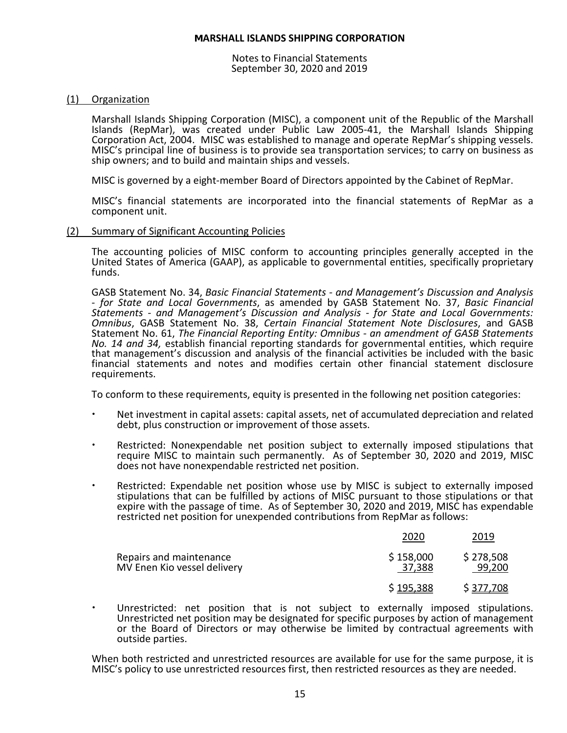Notes to Financial Statements September 30, 2020 and 2019

## (1) Organization

Marshall Islands Shipping Corporation (MISC), a component unit of the Republic of the Marshall Islands (RepMar), was created under Public Law 2005-41, the Marshall Islands Shipping Corporation Act, 2004. MISC was established to manage and operate RepMar's shipping vessels. MISC's principal line of business is to provide sea transportation services; to carry on business as ship owners; and to build and maintain ships and vessels.

MISC is governed by a eight-member Board of Directors appointed by the Cabinet of RepMar.

MISC's financial statements are incorporated into the financial statements of RepMar as a component unit.

#### (2) Summary of Significant Accounting Policies

The accounting policies of MISC conform to accounting principles generally accepted in the United States of America (GAAP), as applicable to governmental entities, specifically proprietary funds.

GASB Statement No. 34, *Basic Financial Statements - and Management's Discussion and Analysis - for State and Local Governments*, as amended by GASB Statement No. 37, *Basic Financial Statements - and Management's Discussion and Analysis - for State and Local Governments: Omnibus*, GASB Statement No. 38, *Certain Financial Statement Note Disclosures*, and GASB Statement No. 61, *The Financial Reporting Entity: Omnibus - an amendment of GASB Statements No. 14 and 34,* establish financial reporting standards for governmental entities, which require that management's discussion and analysis of the financial activities be included with the basic financial statements and notes and modifies certain other financial statement disclosure requirements.

To conform to these requirements, equity is presented in the following net position categories:

- Net investment in capital assets: capital assets, net of accumulated depreciation and related debt, plus construction or improvement of those assets.
- Restricted: Nonexpendable net position subject to externally imposed stipulations that require MISC to maintain such permanently. As of September 30, 2020 and 2019, MISC does not have nonexpendable restricted net position.
- Restricted: Expendable net position whose use by MISC is subject to externally imposed stipulations that can be fulfilled by actions of MISC pursuant to those stipulations or that expire with the passage of time. As of September 30, 2020 and 2019, MISC has expendable restricted net position for unexpended contributions from RepMar as follows:

|                                                        | 2020                | 2019                |
|--------------------------------------------------------|---------------------|---------------------|
| Repairs and maintenance<br>MV Enen Kio vessel delivery | \$158,000<br>37,388 | \$278,508<br>99,200 |
|                                                        | \$195,388           | \$377,708           |

 Unrestricted: net position that is not subject to externally imposed stipulations. Unrestricted net position may be designated for specific purposes by action of management or the Board of Directors or may otherwise be limited by contractual agreements with outside parties.

When both restricted and unrestricted resources are available for use for the same purpose, it is MISC's policy to use unrestricted resources first, then restricted resources as they are needed.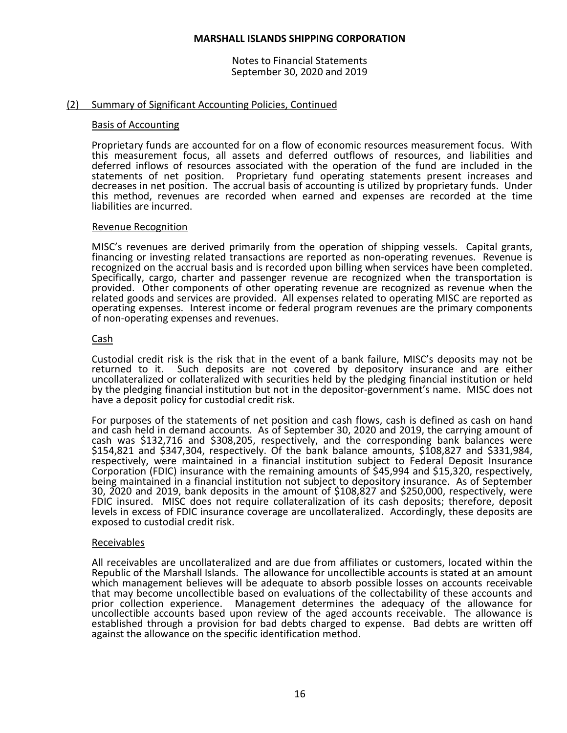Notes to Financial Statements September 30, 2020 and 2019

## (2) Summary of Significant Accounting Policies, Continued

#### Basis of Accounting

Proprietary funds are accounted for on a flow of economic resources measurement focus. With this measurement focus, all assets and deferred outflows of resources, and liabilities and deferred inflows of resources associated with the operation of the fund are included in the statements of net position. Proprietary fund operating statements present increases and decreases in net position. The accrual basis of accounting is utilized by proprietary funds. Under this method, revenues are recorded when earned and expenses are recorded at the time liabilities are incurred.

#### Revenue Recognition

MISC's revenues are derived primarily from the operation of shipping vessels. Capital grants, financing or investing related transactions are reported as non-operating revenues. Revenue is recognized on the accrual basis and is recorded upon billing when services have been completed. Specifically, cargo, charter and passenger revenue are recognized when the transportation is provided. Other components of other operating revenue are recognized as revenue when the related goods and services are provided. All expenses related to operating MISC are reported as operating expenses. Interest income or federal program revenues are the primary components of non-operating expenses and revenues.

#### Cash

Custodial credit risk is the risk that in the event of a bank failure, MISC's deposits may not be Such deposits are not covered by depository insurance and are either uncollateralized or collateralized with securities held by the pledging financial institution or held by the pledging financial institution but not in the depositor-government's name. MISC does not have a deposit policy for custodial credit risk.

For purposes of the statements of net position and cash flows, cash is defined as cash on hand and cash held in demand accounts. As of September 30, 2020 and 2019, the carrying amount of cash was \$132,716 and \$308,205, respectively, and the corresponding bank balances were respectively, were maintained in a financial institution subject to Federal Deposit Insurance Corporation (FDIC) insurance with the remaining amounts of \$45,994 and \$15,320, respectively, being maintained in a financial institution not subject to depository insurance. As of September 30, 2020 and 2019, bank deposits in the amount of \$108,827 and \$250,000, respectively, were FDIC insured. MISC does not require collateralization of its cash deposits; therefore, deposit levels in excess of FDIC insurance coverage are uncollateralized. Accordingly, these deposits are exposed to custodial credit risk.

#### Receivables

All receivables are uncollateralized and are due from affiliates or customers, located within the Republic of the Marshall Islands. The allowance for uncollectible accounts is stated at an amount which management believes will be adequate to absorb possible losses on accounts receivable that may become uncollectible based on evaluations of the collectability of these accounts and prior collection experience. Management determines the adequacy of the allowance for uncollectible accounts based upon review of the aged accounts receivable. The allowance is established through a provision for bad debts charged to expense. Bad debts are written off against the allowance on the specific identification method.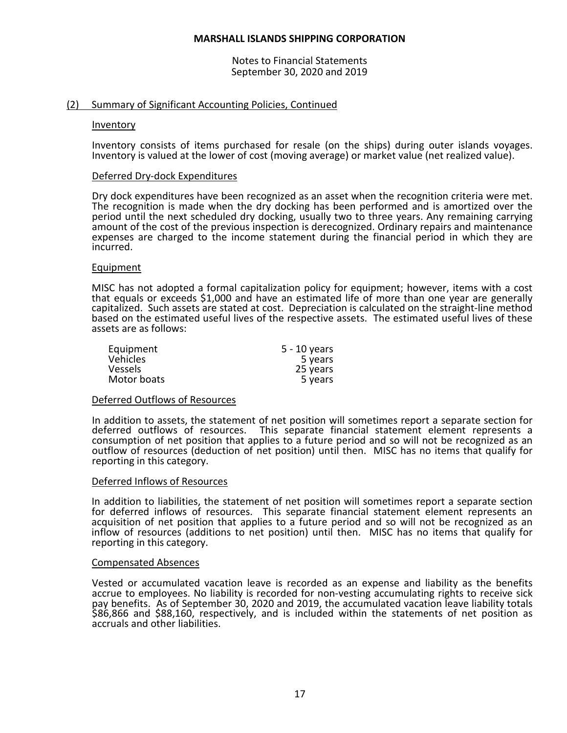Notes to Financial Statements September 30, 2020 and 2019

## (2) Summary of Significant Accounting Policies, Continued

#### Inventory

Inventory consists of items purchased for resale (on the ships) during outer islands voyages. Inventory is valued at the lower of cost (moving average) or market value (net realized value).

#### Deferred Dry-dock Expenditures

Dry dock expenditures have been recognized as an asset when the recognition criteria were met. The recognition is made when the dry docking has been performed and is amortized over the period until the next scheduled dry docking, usually two to three years. Any remaining carrying amount of the cost of the previous inspection is derecognized. Ordinary repairs and maintenance expenses are charged to the income statement during the financial period in which they are incurred.

#### Equipment

MISC has not adopted a formal capitalization policy for equipment; however, items with a cost that equals or exceeds \$1,000 and have an estimated life of more than one year are generally capitalized. Such assets are stated at cost. Depreciation is calculated on the straight-line method based on the estimated useful lives of the respective assets. The estimated useful lives of these assets are as follows:

| Equipment      | $5 - 10$ years |
|----------------|----------------|
| Vehicles       | 5 years        |
| <b>Vessels</b> | 25 years       |
| Motor boats    | 5 years        |

#### Deferred Outflows of Resources

In addition to assets, the statement of net position will sometimes report a separate section for deferred outflows of resources. This separate financial statement element represents a consumption of net position that applies to a future period and so will not be recognized as an outflow of resources (deduction of net position) until then. MISC has no items that qualify for reporting in this category.

#### Deferred Inflows of Resources

In addition to liabilities, the statement of net position will sometimes report a separate section for deferred inflows of resources. This separate financial statement element represents an acquisition of net position that applies to a future period and so will not be recognized as an inflow of resources (additions to net position) until then. MISC has no items that qualify for reporting in this category.

#### Compensated Absences

Vested or accumulated vacation leave is recorded as an expense and liability as the benefits accrue to employees. No liability is recorded for non-vesting accumulating rights to receive sick \$86,866 and \$88,160, respectively, and is included within the statements of net position as accruals and other liabilities.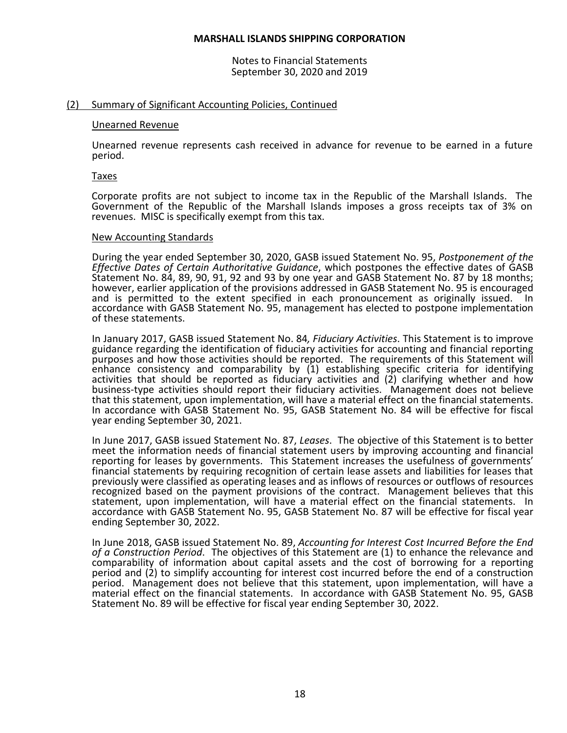Notes to Financial Statements September 30, 2020 and 2019

## (2) Summary of Significant Accounting Policies, Continued

#### Unearned Revenue

Unearned revenue represents cash received in advance for revenue to be earned in a future period.

#### Taxes

Corporate profits are not subject to income tax in the Republic of the Marshall Islands. The Government of the Republic of the Marshall Islands imposes a gross receipts tax of 3% on revenues. MISC is specifically exempt from this tax.

#### New Accounting Standards

During the year ended September 30, 2020, GASB issued Statement No. 95, *Postponement of the Effective Dates of Certain Authoritative Guidance*, which postpones the effective dates of GASB Statement No. 84, 89, 90, 91, 92 and 93 by one year and GASB Statement No. 87 by 18 months; however, earlier application of the provisions addressed in GASB Statement No. 95 is encouraged and is permitted to the extent specified in each pronouncement as originally issued. In accordance with GASB Statement No. 95, management has elected to postpone implementation of these statements.

In January 2017, GASB issued Statement No. 84*, Fiduciary Activities*. This Statement is to improve guidance regarding the identification of fiduciary activities for accounting and financial reporting purposes and how those activities should be reported. The requirements of this Statement will enhance consistency and comparability by (1) establishing specific criteria for identifying activities that should be reported as fiduciary activities and (2) clarifying whether and how business-type activities should report their fiduciary activities. Management does not believe that this statement, upon implementation, will have a material effect on the financial statements. In accordance with GASB Statement No. 95, GASB Statement No. 84 will be effective for fiscal year ending September 30, 2021.

In June 2017, GASB issued Statement No. 87, *Leases*. The objective of this Statement is to better meet the information needs of financial statement users by improving accounting and financial reporting for leases by governments. This Statement increases the usefulness of governments' financial statements by requiring recognition of certain lease assets and liabilities for leases that previously were classified as operating leases and as inflows of resources or outflows of resources recognized based on the payment provisions of the contract. Management believes that this statement, upon implementation, will have a material effect on the financial statements. In accordance with GASB Statement No. 95, GASB Statement No. 87 will be effective for fiscal year ending September 30, 2022.

In June 2018, GASB issued Statement No. 89, *Accounting for Interest Cost Incurred Before the End of a Construction Period*. The objectives of this Statement are (1) to enhance the relevance and comparability of information about capital assets and the cost of borrowing for a reporting period and (2) to simplify accounting for interest cost incurred before the end of a construction period. Management does not believe that this statement, upon implementation, will have a material effect on the financial statements. In accordance with GASB Statement No. 95, GASB Statement No. 89 will be effective for fiscal year ending September 30, 2022.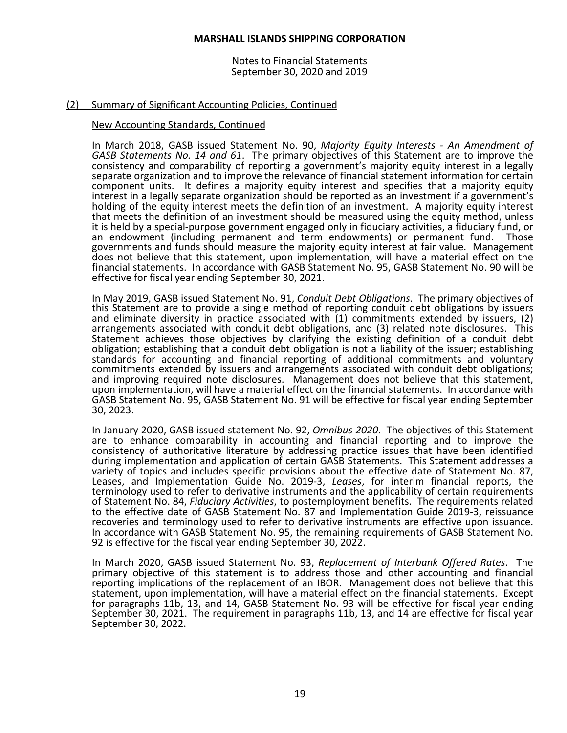Notes to Financial Statements September 30, 2020 and 2019

# (2) Summary of Significant Accounting Policies, Continued

#### New Accounting Standards, Continued

In March 2018, GASB issued Statement No. 90, *Majority Equity Interests - An Amendment of GASB Statements No. 14 and 61*. The primary objectives of this Statement are to improve the consistency and comparability of reporting a government's majority equity interest in a legally separate organization and to improve the relevance of financial statement information for certain component units. It defines a majority equity interest and specifies that a majority equity interest in a legally separate organization should be reported as an investment if a government's holding of the equity interest meets the definition of an investment. A majority equity interest that meets the definition of an investment should be measured using the equity method, unless it is held by a special-purpose government engaged only in fiduciary activities, a fiduciary fund, or an endowment (including permanent and term endowments) or permanent fund. Those governments and funds should measure the majority equity interest at fair value. Management does not believe that this statement, upon implementation, will have a material effect on the financial statements. In accordance with GASB Statement No. 95, GASB Statement No. 90 will be effective for fiscal year ending September 30, 2021.

In May 2019, GASB issued Statement No. 91, *Conduit Debt Obligations*. The primary objectives of this Statement are to provide a single method of reporting conduit debt obligations by issuers and eliminate diversity in practice associated with (1) commitments extended by issuers, (2) arrangements associated with conduit debt obligations, and (3) related note disclosures. This Statement achieves those objectives by clarifying the existing definition of a conduit debt obligation; establishing that a conduit debt obligation is not a liability of the issuer; establishing standards for accounting and financial reporting of additional commitments and voluntary commitments extended by issuers and arrangements associated with conduit debt obligations; and improving required note disclosures. Management does not believe that this statement, upon implementation, will have a material effect on the financial statements. In accordance with GASB Statement No. 95, GASB Statement No. 91 will be effective for fiscal year ending September 30, 2023.

In January 2020, GASB issued statement No. 92, *Omnibus 2020*. The objectives of this Statement are to enhance comparability in accounting and financial reporting and to improve the consistency of authoritative literature by addressing practice issues that have been identified during implementation and application of certain GASB Statements. This Statement addresses a variety of topics and includes specific provisions about the effective date of Statement No. 87, Leases, and Implementation Guide No. 2019-3, *Leases*, for interim financial reports, the terminology used to refer to derivative instruments and the applicability of certain requirements of Statement No. 84, *Fiduciary Activities*, to postemployment benefits. The requirements related to the effective date of GASB Statement No. 87 and Implementation Guide 2019-3, reissuance recoveries and terminology used to refer to derivative instruments are effective upon issuance. In accordance with GASB Statement No. 95, the remaining requirements of GASB Statement No. 92 is effective for the fiscal year ending September 30, 2022.

In March 2020, GASB issued Statement No. 93, *Replacement of Interbank Offered Rates*. The primary objective of this statement is to address those and other accounting and financial reporting implications of the replacement of an IBOR. Management does not believe that this statement, upon implementation, will have a material effect on the financial statements. Except for paragraphs 11b, 13, and 14, GASB Statement No. 93 will be effective for fiscal year ending September 30, 2021. The requirement in paragraphs 11b, 13, and 14 are effective for fiscal year September 30, 2022.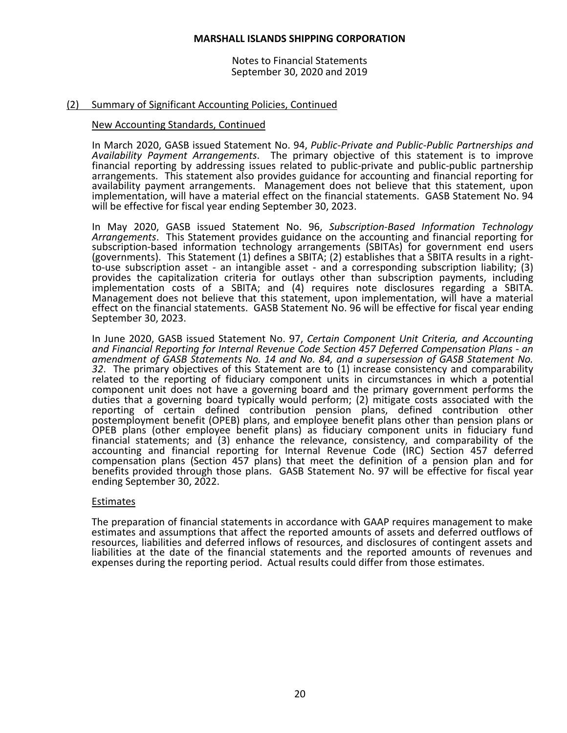Notes to Financial Statements September 30, 2020 and 2019

# (2) Summary of Significant Accounting Policies, Continued

#### New Accounting Standards, Continued

In March 2020, GASB issued Statement No. 94, *Public-Private and Public-Public Partnerships and Availability Payment Arrangements*. The primary objective of this statement is to improve financial reporting by addressing issues related to public-private and public-public partnership arrangements. This statement also provides guidance for accounting and financial reporting for availability payment arrangements. Management does not believe that this statement, upon implementation, will have a material effect on the financial statements. GASB Statement No. 94 will be effective for fiscal year ending September 30, 2023.

In May 2020, GASB issued Statement No. 96, *Subscription-Based Information Technology Arrangements*. This Statement provides guidance on the accounting and financial reporting for subscription-based information technology arrangements (SBITAs) for government end users (governments). This Statement (1) defines a SBITA; (2) establishes that a SBITA results in a right- $\overline{10}$ -use subscription asset - an intangible asset - and a corresponding subscription liability; (3) provides the capitalization criteria for outlays other than subscription payments, including implementation costs of a SBITA; and (4) requires note disclosures regarding a SBITA. Management does not believe that this statement, upon implementation, will have a material effect on the financial statements. GASB Statement No. 96 will be effective for fiscal year ending September 30, 2023.

In June 2020, GASB issued Statement No. 97, *Certain Component Unit Criteria, and Accounting and Financial Reporting for Internal Revenue Code Section 457 Deferred Compensation Plans - an amendment of GASB Statements No. 14 and No. 84, and a supersession of GASB Statement No. 32*. The primary objectives of this Statement are to (1) increase consistency and comparability related to the reporting of fiduciary component units in circumstances in which a potential component unit does not have a governing board and the primary government performs the duties that a governing board typically would perform; (2) mitigate costs associated with the reporting of certain defined contribution pension plans, defined contribution other postemployment benefit (OPEB) plans, and employee benefit plans other than pension plans or OPEB plans (other employee benefit plans) as fiduciary component units in fiduciary fund financial statements; and (3) enhance the relevance, consistency, and comparability of the accounting and financial reporting for Internal Revenue Code (IRC) Section 457 deferred compensation plans (Section 457 plans) that meet the definition of a pension plan and for benefits provided through those plans. GASB Statement No. 97 will be effective for fiscal year ending September 30, 2022.

# Estimates

The preparation of financial statements in accordance with GAAP requires management to make estimates and assumptions that affect the reported amounts of assets and deferred outflows of resources, liabilities and deferred inflows of resources, and disclosures of contingent assets and liabilities at the date of the financial statements and the reported amounts of revenues and expenses during the reporting period. Actual results could differ from those estimates.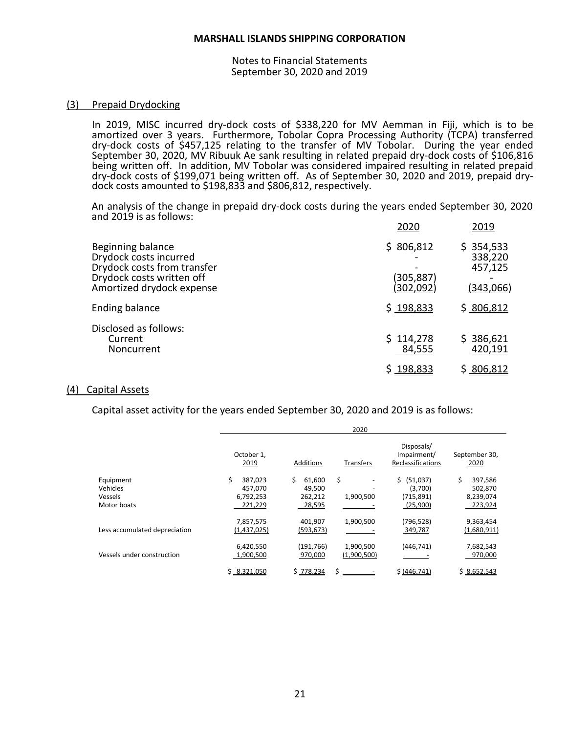Notes to Financial Statements September 30, 2020 and 2019

#### (3) Prepaid Drydocking

In 2019, MISC incurred dry-dock costs of \$338,220 for MV Aemman in Fiji, which is to be amortized over 3 years. Furthermore, Tobolar Copra Processing Authority (TCPA) transferred dry-dock costs of \$457,125 relating to the transfer of MV Tobolar. During the year ended September 30, 2020, MV Ribuuk Ae sank resulting in related prepaid dry-dock costs of \$106,816 being written off. In addition, MV Tobolar was considered impaired resulting in related prepaid dry-dock costs of \$199,071 being written off. As of September 30, 2020 and 2019, prepaid dry-<br>dock costs amounted to \$198,833 and \$806,812, respectively.

An analysis of the change in prepaid dry-dock costs during the years ended September 30, 2020 and 2019 is as follows:

|                                                                                                                                      | 2020                                 | 2019                                         |
|--------------------------------------------------------------------------------------------------------------------------------------|--------------------------------------|----------------------------------------------|
| Beginning balance<br>Drydock costs incurred<br>Drydock costs from transfer<br>Drydock costs written off<br>Amortized drydock expense | \$806,812<br>(305, 887)<br>(302,092) | \$354,533<br>338,220<br>457,125<br>(343,066) |
| Ending balance                                                                                                                       | \$198,833                            | \$806,812                                    |
| Disclosed as follows:<br>Current<br>Noncurrent                                                                                       | \$114,278<br>84,555                  | \$386,621<br>420,191                         |
|                                                                                                                                      | \$198,833                            | \$806,812                                    |

# (4) Capital Assets

Capital asset activity for the years ended September 30, 2020 and 2019 is as follows:

|                                                 |                                                  | 2020                                                           |                                                  |                                                  |
|-------------------------------------------------|--------------------------------------------------|----------------------------------------------------------------|--------------------------------------------------|--------------------------------------------------|
|                                                 | October 1,<br>2019                               | Additions<br>Transfers                                         | Disposals/<br>Impairment/<br>Reclassifications   | September 30,<br>2020                            |
| Equipment<br>Vehicles<br>Vessels<br>Motor boats | \$<br>387,023<br>457.070<br>6,792,253<br>221,229 | \$<br>Ś.<br>61,600<br>49,500<br>262,212<br>1,900,500<br>28,595 | \$ (51,037)<br>(3,700)<br>(715, 891)<br>(25,900) | \$<br>397,586<br>502,870<br>8,239,074<br>223,924 |
| Less accumulated depreciation                   | 7,857,575<br>(1,437,025)                         | 401,907<br>1,900,500<br>(593, 673)                             | (796, 528)<br>349,787                            | 9,363,454<br>(1,680,911)                         |
| Vessels under construction                      | 6,420,550<br>1,900,500                           | (191, 766)<br>1,900,500<br>(1,900,500)<br>970,000              | (446, 741)                                       | 7,682,543<br>970,000                             |
|                                                 | \$ 8,321,050                                     | \$<br>\$778,234                                                | \$ (446, 741)                                    | \$8,652,543                                      |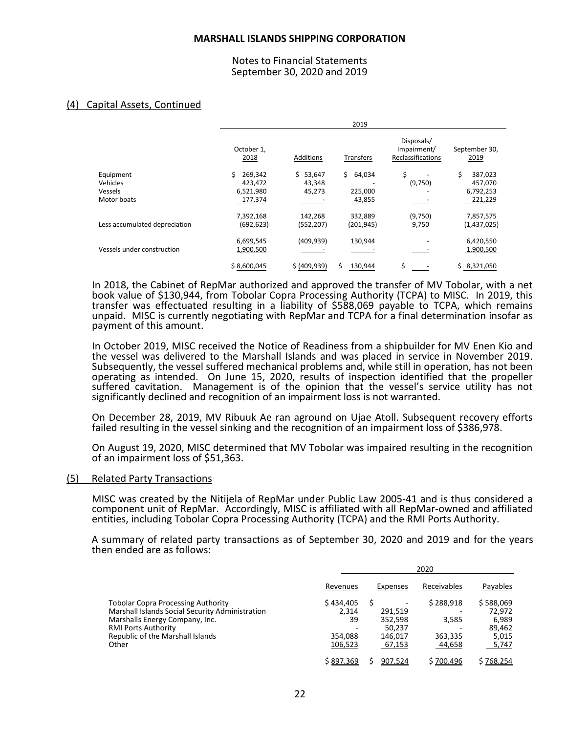Notes to Financial Statements September 30, 2020 and 2019

# (4) Capital Assets, Continued

|                                                 |                                                  |                                  | 2019                              |                                                |                                                  |
|-------------------------------------------------|--------------------------------------------------|----------------------------------|-----------------------------------|------------------------------------------------|--------------------------------------------------|
|                                                 | October 1,<br>2018                               | Additions                        | Transfers                         | Disposals/<br>Impairment/<br>Reclassifications | September 30,<br>2019                            |
| Equipment<br>Vehicles<br>Vessels<br>Motor boats | 269,342<br>Ś.<br>423,472<br>6,521,980<br>177,374 | 53,647<br>Ś.<br>43,348<br>45,273 | Ś.<br>64,034<br>225,000<br>43,855 | \$<br>(9,750)                                  | Ś.<br>387,023<br>457,070<br>6,792,253<br>221,229 |
| Less accumulated depreciation                   | 7,392,168<br>(692, 623)                          | 142,268<br>(552, 207)            | 332,889<br>(201, 945)             | (9,750)<br>9,750                               | 7,857,575<br>(1,437,025)                         |
| Vessels under construction                      | 6,699,545<br>1,900,500                           | (409, 939)                       | 130,944                           |                                                | 6,420,550<br>1,900,500                           |
|                                                 | \$8,600,045                                      | \$ (409, 939)                    | 130,944                           | \$                                             | \$8,321,050                                      |

In 2018, the Cabinet of RepMar authorized and approved the transfer of MV Tobolar, with a net book value of \$130,944, from Tobolar Copra Processing Authority (TCPA) to MISC. In 2019, this transfer was effectuated resulting in a liability of \$588,069 payable to TCPA, which remains unpaid. MISC is currently negotiating with RepMar and TCPA for a final determination insofar as payment of this amount.

In October 2019, MISC received the Notice of Readiness from a shipbuilder for MV Enen Kio and the vessel was delivered to the Marshall Islands and was placed in service in November 2019. Subsequently, the vessel suffered mechanical problems and, while still in operation, has not been operating as intended. On June 15, 2020, results of inspection identified that the propeller suffered cavitation. Management is of the opinion that the vessel's service utility has not significantly declined and recognition of an impairment loss is not warranted.

On December 28, 2019, MV Ribuuk Ae ran aground on Ujae Atoll. Subsequent recovery efforts failed resulting in the vessel sinking and the recognition of an impairment loss of \$386,978.

On August 19, 2020, MISC determined that MV Tobolar was impaired resulting in the recognition of an impairment loss of \$51,363.

#### (5) Related Party Transactions

MISC was created by the Nitijela of RepMar under Public Law 2005-41 and is thus considered a component unit of RepMar. Accordingly, MISC is affiliated with all RepMar-owned and affiliated entities, including Tobolar Copra Processing Authority (TCPA) and the RMI Ports Authority.

A summary of related party transactions as of September 30, 2020 and 2019 and for the years then ended are as follows:

|                                                 | 2020      |          |             |           |
|-------------------------------------------------|-----------|----------|-------------|-----------|
|                                                 | Revenues  | Expenses | Receivables | Payables  |
| Tobolar Copra Processing Authority              | \$434.405 |          | \$288.918   | \$588,069 |
| Marshall Islands Social Security Administration | 2,314     | 291,519  |             | 72,972    |
| Marshalls Energy Company, Inc.                  | 39        | 352,598  | 3,585       | 6,989     |
| RMI Ports Authority                             |           | 50,237   |             | 89,462    |
| <b>Republic of the Marshall Islands</b>         | 354.088   | 146.017  | 363,335     | 5,015     |
| Other                                           | 106,523   | 67,153   | 44,658      | 5,747     |
|                                                 | \$897,369 | 907,524  | \$700,496   | \$768,254 |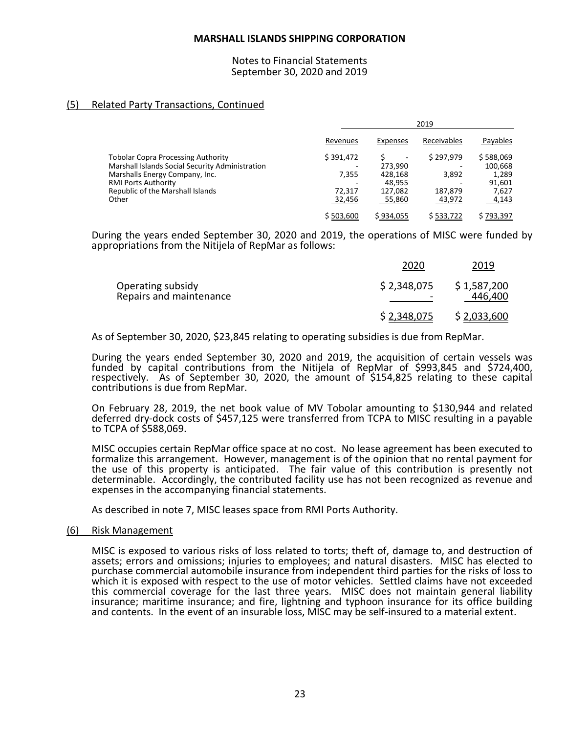Notes to Financial Statements September 30, 2020 and 2019

# (5) Related Party Transactions, Continued

|                                                                                                                                                                                                           | 2019                                   |                                                        |                                         |                                                           |
|-----------------------------------------------------------------------------------------------------------------------------------------------------------------------------------------------------------|----------------------------------------|--------------------------------------------------------|-----------------------------------------|-----------------------------------------------------------|
|                                                                                                                                                                                                           | Revenues                               | Expenses                                               | <b>Receivables</b>                      | Payables                                                  |
| <b>Tobolar Copra Processing Authority</b><br>Marshall Islands Social Security Administration<br>Marshalls Energy Company, Inc.<br><b>RMI Ports Authority</b><br>Republic of the Marshall Islands<br>Other | \$391,472<br>7,355<br>72.317<br>32,456 | Ś<br>273.990<br>428.168<br>48.955<br>127,082<br>55,860 | \$297.979<br>3,892<br>187,879<br>43,972 | \$588,069<br>100,668<br>1,289<br>91,601<br>7,627<br>4,143 |
|                                                                                                                                                                                                           | \$503,600                              | \$934,055                                              | \$533,722                               | \$793,397                                                 |

During the years ended September 30, 2020 and 2019, the operations of MISC were funded by appropriations from the Nitijela of RepMar as follows:

|                                              | 2020        | 2019                   |
|----------------------------------------------|-------------|------------------------|
| Operating subsidy<br>Repairs and maintenance | \$2,348,075 | \$1,587,200<br>446,400 |
|                                              | \$2,348,075 | \$2,033,600            |

As of September 30, 2020, \$23,845 relating to operating subsidies is due from RepMar.

During the years ended September 30, 2020 and 2019, the acquisition of certain vessels was funded by capital contributions from the Nitijela of RepMar of \$993,845 and \$724,400,<br>respectively. As of September 30, 2020, the amount of \$154,825 relating to these capital contributions is due from RepMar.

On February 28, 2019, the net book value of MV Tobolar amounting to \$130,944 and related deferred dry-dock costs of \$457,125 were transferred from TCPA to MISC resulting in a payable to TCPA of \$588,069.

MISC occupies certain RepMar office space at no cost. No lease agreement has been executed to formalize this arrangement. However, management is of the opinion that no rental payment for the use of this property is anticipated. The fair value of this contribution is presently not determinable. Accordingly, the contributed facility use has not been recognized as revenue and expenses in the accompanying financial statements.

As described in note 7, MISC leases space from RMI Ports Authority.

#### (6) Risk Management

MISC is exposed to various risks of loss related to torts; theft of, damage to, and destruction of assets; errors and omissions; injuries to employees; and natural disasters. MISC has elected to purchase commercial automobile insurance from independent third parties for the risks of loss to which it is exposed with respect to the use of motor vehicles. Settled claims have not exceeded this commercial coverage for the last three years. MISC does not maintain general liability insurance; maritime insurance; and fire, lightning and typhoon insurance for its office building and contents. In the event of an insurable loss, MISC may be self-insured to a material extent.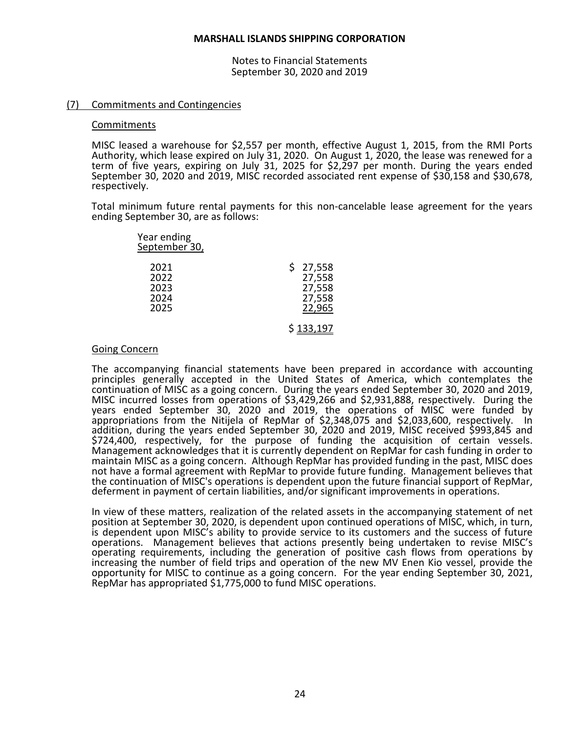Notes to Financial Statements September 30, 2020 and 2019

# (7) Commitments and Contingencies

#### Commitments

MISC leased a warehouse for \$2,557 per month, effective August 1, 2015, from the RMI Ports Authority, which lease expired on July 31, 2020. On August 1, 2020, the lease was renewed for a term of five years, expiring on July 31, 2025 for \$2,297 per month. During the years ended September 30, 2020 and 2019, MISC recorded associated rent expense of \$30,158 and \$30,678,<br>respectively.

Total minimum future rental payments for this non-cancelable lease agreement for the years ending September 30, are as follows:

| Year ending<br>September 30,         |                                                  |
|--------------------------------------|--------------------------------------------------|
| 2021<br>2022<br>2023<br>2024<br>2025 | \$27,558<br>27,558<br>27,558<br>27,558<br>22,965 |
|                                      | \$133,197                                        |

#### Going Concern

The accompanying financial statements have been prepared in accordance with accounting principles generally accepted in the United States of America, which contemplates the continuation of MISC as a going concern. During the years ended September 30, 2020 and 2019, continuation of MISC as a going concern. During the years ended September 30, 2020 and 2019,<br>MISC incurred losses from operations of \$3,429,266 and \$2,931,888, respectively. During the years ended September 30, 2020 and 2019, the operations of MISC were funded by appropriations from the Nitijela of RepMar of \$2,348,075 and \$2,033,600, respectively. In addition, during the years ended September 30, 2020 and 2019, MISC received \$993,845 and \$724,400, respectively, for the purpose of funding the acquisition of certain vessels.<br>Management acknowledges that it is currently dependent on RepMar for cash funding in order to maintain MISC as a going concern. Although RepMar has provided funding in the past, MISC does not have a formal agreement with RepMar to provide future funding. Management believes that the continuation of MISC's operations is dependent upon the future financial support of RepMar, deferment in payment of certain liabilities, and/or significant improvements in operations.

In view of these matters, realization of the related assets in the accompanying statement of net position at September 30, 2020, is dependent upon continued operations of MISC, which, in turn, is dependent upon MISC's ability to provide service to its customers and the success of future operations. Management believes that actions presently being undertaken to revise MISC's operating requirements, including the generation of positive cash flows from operations by increasing the number of field trips and operation of the new MV Enen Kio vessel, provide the opportunity for MISC to continue as a going concern. For the year ending September 30, 2021, RepMar has appropriated \$1,775,000 to fund MISC operations.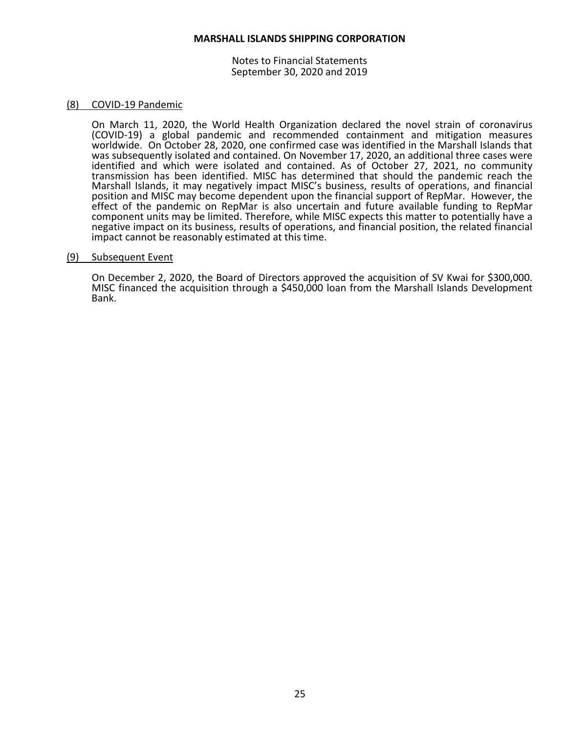Notes to Financial Statements September 30, 2020 and 2019

#### (8) COVID-19 Pandemic

On March 11, 2020, the World Health Organization declared the novel strain of coronavirus (COVID-19) a global pandemic and recommended containment and mitigation measures worldwide. On October 28, 2020, one confirmed case was identified in the Marshall Islands that was subsequently isolated and contained. On November 17, 2020, an additional three cases were identified and which were isolated and contained. As of October 27, 2021, no community transmission has been identified. MISC has determined that should the pandemic reach the Marshall Islands, it may negatively impact MISC's business, results of operations, and financial position and MISC may become dependent upon the financial support of RepMar. However, the effect of the pandemic on RepMar is also uncertain and future available funding to RepMar component units may be limited. Therefore, while MISC expects this matter to potentially have a negative impact on its business, results of operations, and financial position, the related financial impact cannot be reasonably estimated at this time.

#### (9) Subsequent Event

On December 2, 2020, the Board of Directors approved the acquisition of SV Kwai for \$300,000. MISC financed the acquisition through a \$450,000 loan from the Marshall Islands Development Bank.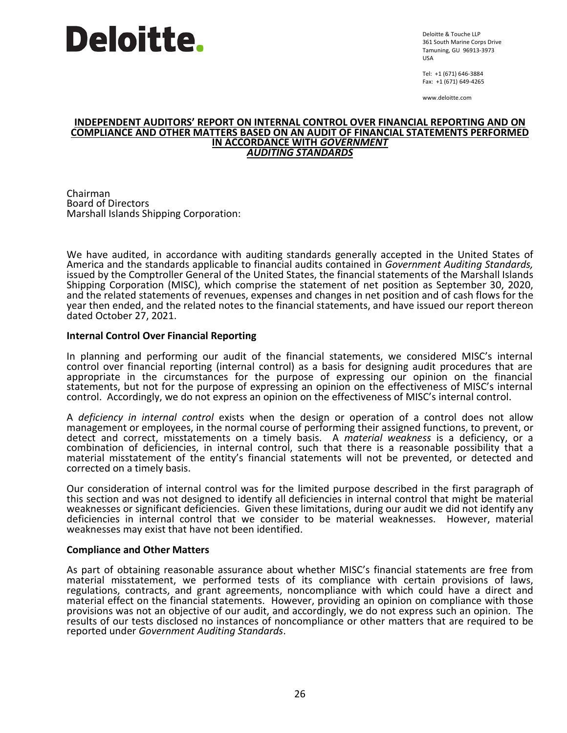

Deloitte & Touche LLP 361 South Marine Corps Drive Tamuning, GU 96913-3973 USA

Tel: +1 (671) 646-3884 Fax: +1 (671) 649-4265

www.deloitte.com

#### **INDEPENDENT AUDITORS' REPORT ON INTERNAL CONTROL OVER FINANCIAL REPORTING AND ON COMPLIANCE AND OTHER MATTERS BASED ON AN AUDIT OF FINANCIAL STATEMENTS PERFORMED IN ACCORDANCE WITH** *GOVERNMENT AUDITING STANDARDS*

Chairman Board of Directors Marshall Islands Shipping Corporation:

We have audited, in accordance with auditing standards generally accepted in the United States of America and the standards applicable to financial audits contained in Government Auditing Standards, issued by the Comptroller General of the United States, the financial statements of the Marshall Islands Shipping Corporation (MISC), which comprise the statement of net position as September 30, 2020, and the related statements of revenues, expenses and changes in net position and of cash flows for the year then ended, and the related notes to the financial statements, and have issued our report thereon dated October 27, 2021.

## **Internal Control Over Financial Reporting**

In planning and performing our audit of the financial statements, we considered MISC's internal control over financial reporting (internal control) as a basis for designing audit procedures that are appropriate in the circumstances for the purpose of expressing our opinion on the financial statements, but not for the purpose of expressing an opinion on the effectiveness of MISC's internal control. Accordingly, we do not express an opinion on the effectiveness of MISC's internal control.

A *deficiency in internal control* exists when the design or operation of a control does not allow management or employees, in the normal course of performing their assigned functions, to prevent, or detect and correct, misstatements on a timely basis. A *material weakness* is a deficiency, or a combination of deficiencies, in internal control, such that there is a reasonable possibility that a material misstatement of the entity's financial statements will not be prevented, or detected and corrected on a timely basis.

Our consideration of internal control was for the limited purpose described in the first paragraph of this section and was not designed to identify all deficiencies in internal control that might be material weaknesses or significant deficiencies. Given these limitations, during our audit we did not identify any deficiencies in internal control that we consider to be material weaknesses. However, material weaknesses may exist that have not been identified.

#### **Compliance and Other Matters**

As part of obtaining reasonable assurance about whether MISC's financial statements are free from material misstatement, we performed tests of its compliance with certain provisions of laws, regulations, contracts, and grant agreements, noncompliance with which could have a direct and material effect on the financial statements. However, providing an opinion on compliance with those provisions was not an objective of our audit, and accordingly, we do not express such an opinion. The results of our tests disclosed no instances of noncompliance or other matters that are required to be reported under *Government Auditing Standards*.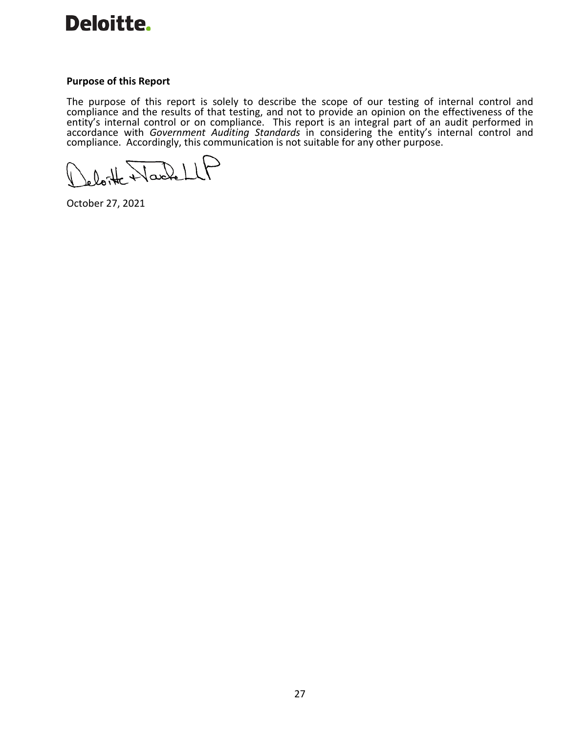

#### **Purpose of this Report**

The purpose of this report is solely to describe the scope of our testing of internal control and compliance and the results of that testing, and not to provide an opinion on the effectiveness of the entity's internal control or on compliance. This report is an integral part of an audit performed in accordance with *Government Auditing Standards* in considering the entity's internal control and compliance. Accordingly, this communication is not suitable for any other purpose.

Varket

October 27, 2021